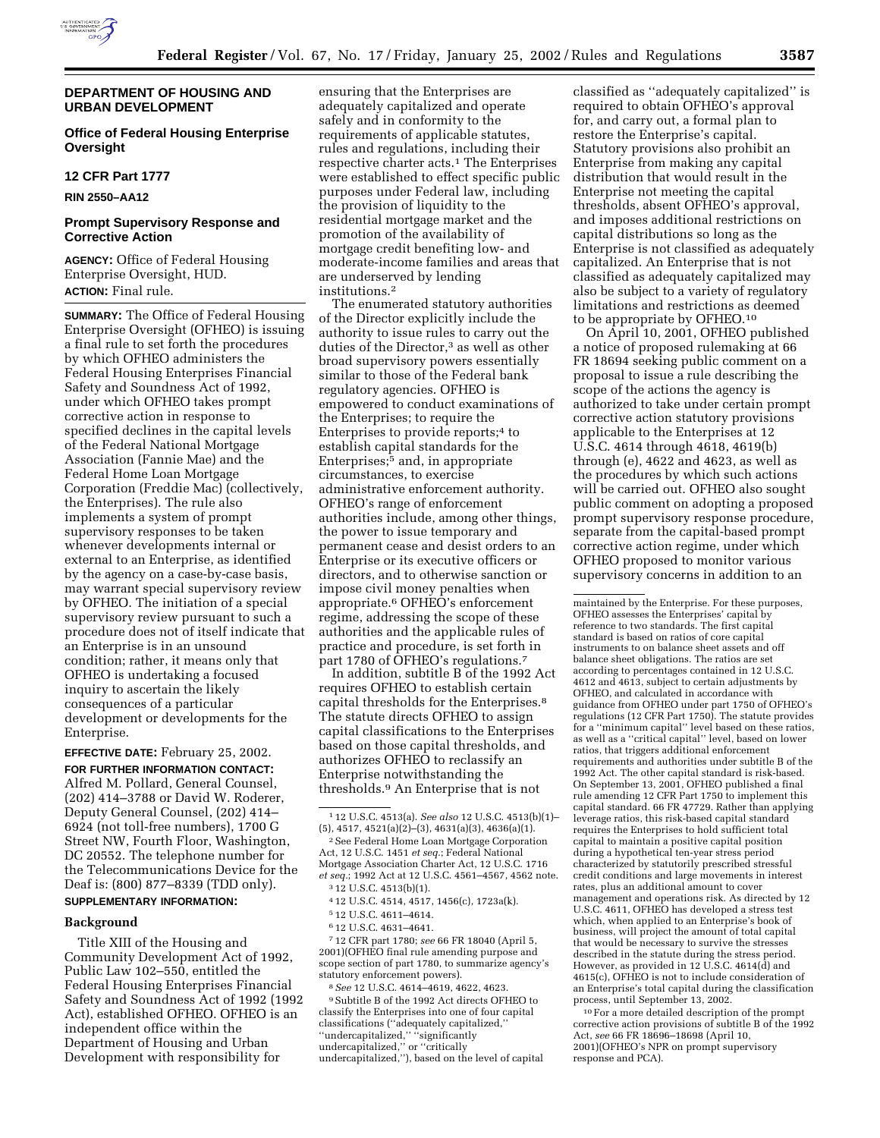

### **DEPARTMENT OF HOUSING AND URBAN DEVELOPMENT**

# **Office of Federal Housing Enterprise Oversight**

### **12 CFR Part 1777**

**RIN 2550–AA12**

# **Prompt Supervisory Response and Corrective Action**

**AGENCY:** Office of Federal Housing Enterprise Oversight, HUD. **ACTION:** Final rule.

**SUMMARY:** The Office of Federal Housing Enterprise Oversight (OFHEO) is issuing a final rule to set forth the procedures by which OFHEO administers the Federal Housing Enterprises Financial Safety and Soundness Act of 1992, under which OFHEO takes prompt corrective action in response to specified declines in the capital levels of the Federal National Mortgage Association (Fannie Mae) and the Federal Home Loan Mortgage Corporation (Freddie Mac) (collectively, the Enterprises). The rule also implements a system of prompt supervisory responses to be taken whenever developments internal or external to an Enterprise, as identified by the agency on a case-by-case basis, may warrant special supervisory review by OFHEO. The initiation of a special supervisory review pursuant to such a procedure does not of itself indicate that an Enterprise is in an unsound condition; rather, it means only that OFHEO is undertaking a focused inquiry to ascertain the likely consequences of a particular development or developments for the Enterprise.

**EFFECTIVE DATE:** February 25, 2002.

**FOR FURTHER INFORMATION CONTACT:** Alfred M. Pollard, General Counsel, (202) 414–3788 or David W. Roderer, Deputy General Counsel, (202) 414– 6924 (not toll-free numbers), 1700 G Street NW, Fourth Floor, Washington, DC 20552. The telephone number for the Telecommunications Device for the Deaf is: (800) 877–8339 (TDD only).

## **SUPPLEMENTARY INFORMATION:**

## **Background**

Title XIII of the Housing and Community Development Act of 1992, Public Law 102–550, entitled the Federal Housing Enterprises Financial Safety and Soundness Act of 1992 (1992 Act), established OFHEO. OFHEO is an independent office within the Department of Housing and Urban Development with responsibility for

ensuring that the Enterprises are adequately capitalized and operate safely and in conformity to the requirements of applicable statutes, rules and regulations, including their respective charter acts.<sup>1</sup> The Enterprises were established to effect specific public purposes under Federal law, including the provision of liquidity to the residential mortgage market and the promotion of the availability of mortgage credit benefiting low- and moderate-income families and areas that are underserved by lending institutions.2

The enumerated statutory authorities of the Director explicitly include the authority to issue rules to carry out the duties of the Director,3 as well as other broad supervisory powers essentially similar to those of the Federal bank regulatory agencies. OFHEO is empowered to conduct examinations of the Enterprises; to require the Enterprises to provide reports;4 to establish capital standards for the Enterprises;5 and, in appropriate circumstances, to exercise administrative enforcement authority. OFHEO's range of enforcement authorities include, among other things, the power to issue temporary and permanent cease and desist orders to an Enterprise or its executive officers or directors, and to otherwise sanction or impose civil money penalties when appropriate.6 OFHEO's enforcement regime, addressing the scope of these authorities and the applicable rules of practice and procedure, is set forth in part 1780 of OFHEO's regulations.7

In addition, subtitle B of the 1992 Act requires OFHEO to establish certain capital thresholds for the Enterprises.8 The statute directs OFHEO to assign capital classifications to the Enterprises based on those capital thresholds, and authorizes OFHEO to reclassify an Enterprise notwithstanding the thresholds.9 An Enterprise that is not

- 5 12 U.S.C. 4611–4614.
- 6 12 U.S.C. 4631–4641.

7 12 CFR part 1780; *see* 66 FR 18040 (April 5, 2001)(OFHEO final rule amending purpose and scope section of part 1780, to summarize agency's statutory enforcement powers).

8*See* 12 U.S.C. 4614–4619, 4622, 4623.

9Subtitle B of the 1992 Act directs OFHEO to classify the Enterprises into one of four capital classifications ("adequately capitalized, ''undercapitalized,'' ''significantly undercapitalized,'' or ''critically undercapitalized,''), based on the level of capital

classified as ''adequately capitalized'' is required to obtain OFHEO's approval for, and carry out, a formal plan to restore the Enterprise's capital. Statutory provisions also prohibit an Enterprise from making any capital distribution that would result in the Enterprise not meeting the capital thresholds, absent OFHEO's approval, and imposes additional restrictions on capital distributions so long as the Enterprise is not classified as adequately capitalized. An Enterprise that is not classified as adequately capitalized may also be subject to a variety of regulatory limitations and restrictions as deemed to be appropriate by OFHEO.10

On April 10, 2001, OFHEO published a notice of proposed rulemaking at 66 FR 18694 seeking public comment on a proposal to issue a rule describing the scope of the actions the agency is authorized to take under certain prompt corrective action statutory provisions applicable to the Enterprises at 12 U.S.C. 4614 through 4618, 4619(b) through (e), 4622 and 4623, as well as the procedures by which such actions will be carried out. OFHEO also sought public comment on adopting a proposed prompt supervisory response procedure, separate from the capital-based prompt corrective action regime, under which OFHEO proposed to monitor various supervisory concerns in addition to an

maintained by the Enterprise. For these purposes, OFHEO assesses the Enterprises' capital by reference to two standards. The first capital standard is based on ratios of core capital instruments to on balance sheet assets and off balance sheet obligations. The ratios are set according to percentages contained in 12 U.S.C. 4612 and 4613, subject to certain adjustments by OFHEO, and calculated in accordance with guidance from OFHEO under part 1750 of OFHEO's regulations (12 CFR Part 1750). The statute provides for a ''minimum capital'' level based on these ratios, as well as a ''critical capital'' level, based on lower ratios, that triggers additional enforcement requirements and authorities under subtitle B of the 1992 Act. The other capital standard is risk-based. On September 13, 2001, OFHEO published a final rule amending 12 CFR Part 1750 to implement this capital standard. 66 FR 47729. Rather than applying leverage ratios, this risk-based capital standard requires the Enterprises to hold sufficient total capital to maintain a positive capital position during a hypothetical ten-year stress period characterized by statutorily prescribed stressful credit conditions and large movements in interest rates, plus an additional amount to cover management and operations risk. As directed by 12 U.S.C. 4611, OFHEO has developed a stress test which, when applied to an Enterprise's book of business, will project the amount of total capital that would be necessary to survive the stresses described in the statute during the stress period. However, as provided in 12 U.S.C. 4614(d) and 4615(c), OFHEO is not to include consideration of an Enterprise's total capital during the classification process, until September 13, 2002.

10For a more detailed description of the prompt corrective action provisions of subtitle B of the 1992 Act, *see* 66 FR 18696–18698 (April 10, 2001)(OFHEO's NPR on prompt supervisory response and PCA).

<sup>1</sup> 12 U.S.C. 4513(a). *See also* 12 U.S.C. 4513(b)(1)– (5), 4517, 4521(a)(2)–(3), 4631(a)(3), 4636(a)(1).

<sup>2</sup>See Federal Home Loan Mortgage Corporation Act, 12 U.S.C. 1451 *et seq.*; Federal National Mortgage Association Charter Act, 12 U.S.C. 1716 *et seq.*; 1992 Act at 12 U.S.C. 4561–4567, 4562 note.

<sup>3</sup> 12 U.S.C. 4513(b)(1).

<sup>4</sup> 12 U.S.C. 4514, 4517, 1456(c), 1723a(k).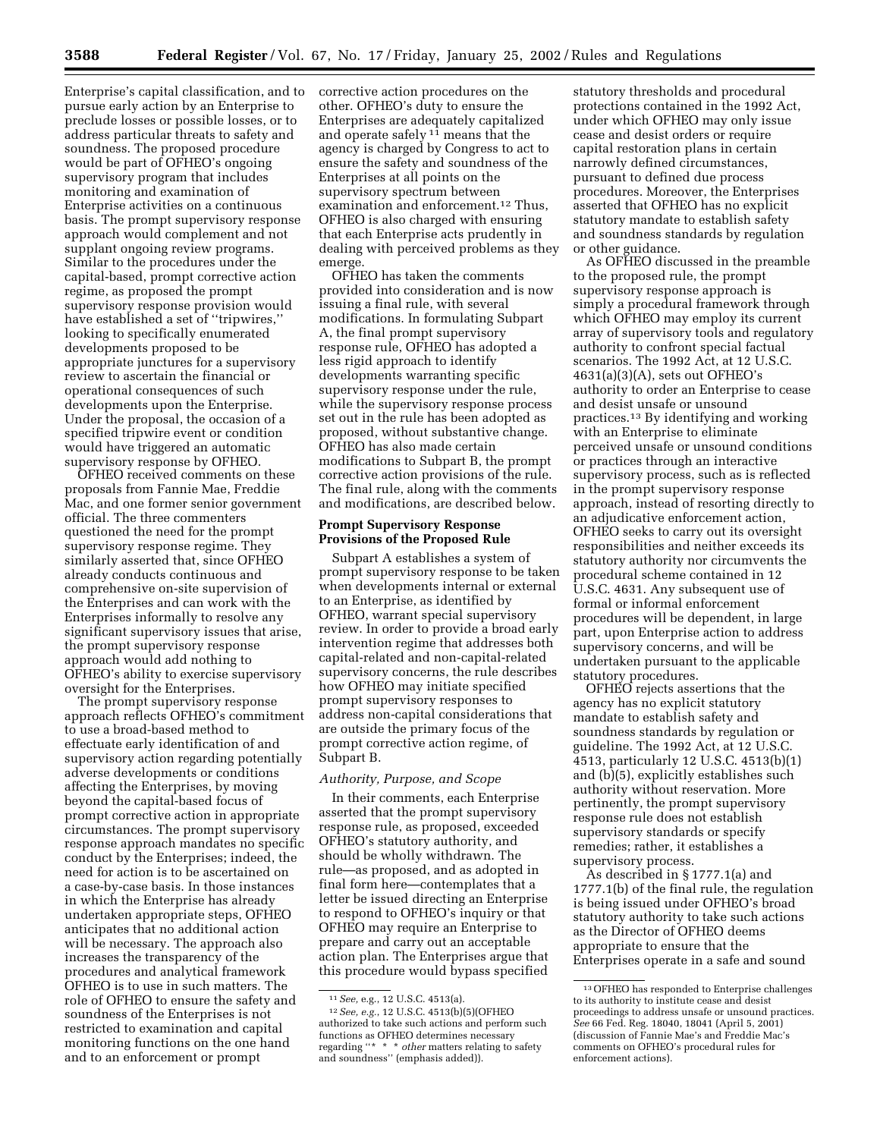Enterprise's capital classification, and to pursue early action by an Enterprise to preclude losses or possible losses, or to address particular threats to safety and soundness. The proposed procedure would be part of OFHEO's ongoing supervisory program that includes monitoring and examination of Enterprise activities on a continuous basis. The prompt supervisory response approach would complement and not supplant ongoing review programs. Similar to the procedures under the capital-based, prompt corrective action regime, as proposed the prompt supervisory response provision would have established a set of ''tripwires,'' looking to specifically enumerated developments proposed to be appropriate junctures for a supervisory review to ascertain the financial or operational consequences of such developments upon the Enterprise. Under the proposal, the occasion of a specified tripwire event or condition would have triggered an automatic supervisory response by OFHEO.

OFHEO received comments on these proposals from Fannie Mae, Freddie Mac, and one former senior government official. The three commenters questioned the need for the prompt supervisory response regime. They similarly asserted that, since OFHEO already conducts continuous and comprehensive on-site supervision of the Enterprises and can work with the Enterprises informally to resolve any significant supervisory issues that arise, the prompt supervisory response approach would add nothing to OFHEO's ability to exercise supervisory oversight for the Enterprises.

The prompt supervisory response approach reflects OFHEO's commitment to use a broad-based method to effectuate early identification of and supervisory action regarding potentially adverse developments or conditions affecting the Enterprises, by moving beyond the capital-based focus of prompt corrective action in appropriate circumstances. The prompt supervisory response approach mandates no specific conduct by the Enterprises; indeed, the need for action is to be ascertained on a case-by-case basis. In those instances in which the Enterprise has already undertaken appropriate steps, OFHEO anticipates that no additional action will be necessary. The approach also increases the transparency of the procedures and analytical framework OFHEO is to use in such matters. The role of OFHEO to ensure the safety and soundness of the Enterprises is not restricted to examination and capital monitoring functions on the one hand and to an enforcement or prompt

corrective action procedures on the other. OFHEO's duty to ensure the Enterprises are adequately capitalized and operate safely  $1<sup>1</sup>$  means that the agency is charged by Congress to act to ensure the safety and soundness of the Enterprises at all points on the supervisory spectrum between examination and enforcement.12 Thus, OFHEO is also charged with ensuring that each Enterprise acts prudently in dealing with perceived problems as they emerge.

OFHEO has taken the comments provided into consideration and is now issuing a final rule, with several modifications. In formulating Subpart A, the final prompt supervisory response rule, OFHEO has adopted a less rigid approach to identify developments warranting specific supervisory response under the rule, while the supervisory response process set out in the rule has been adopted as proposed, without substantive change. OFHEO has also made certain modifications to Subpart B, the prompt corrective action provisions of the rule. The final rule, along with the comments and modifications, are described below.

### **Prompt Supervisory Response Provisions of the Proposed Rule**

Subpart A establishes a system of prompt supervisory response to be taken when developments internal or external to an Enterprise, as identified by OFHEO, warrant special supervisory review. In order to provide a broad early intervention regime that addresses both capital-related and non-capital-related supervisory concerns, the rule describes how OFHEO may initiate specified prompt supervisory responses to address non-capital considerations that are outside the primary focus of the prompt corrective action regime, of Subpart B.

## *Authority, Purpose, and Scope*

In their comments, each Enterprise asserted that the prompt supervisory response rule, as proposed, exceeded OFHEO's statutory authority, and should be wholly withdrawn. The rule—as proposed, and as adopted in final form here—contemplates that a letter be issued directing an Enterprise to respond to OFHEO's inquiry or that OFHEO may require an Enterprise to prepare and carry out an acceptable action plan. The Enterprises argue that this procedure would bypass specified

statutory thresholds and procedural protections contained in the 1992 Act, under which OFHEO may only issue cease and desist orders or require capital restoration plans in certain narrowly defined circumstances, pursuant to defined due process procedures. Moreover, the Enterprises asserted that OFHEO has no explicit statutory mandate to establish safety and soundness standards by regulation or other guidance.

As OFHEO discussed in the preamble to the proposed rule, the prompt supervisory response approach is simply a procedural framework through which OFHEO may employ its current array of supervisory tools and regulatory authority to confront special factual scenarios. The 1992 Act, at 12 U.S.C. 4631(a)(3)(A), sets out OFHEO's authority to order an Enterprise to cease and desist unsafe or unsound practices.13 By identifying and working with an Enterprise to eliminate perceived unsafe or unsound conditions or practices through an interactive supervisory process, such as is reflected in the prompt supervisory response approach, instead of resorting directly to an adjudicative enforcement action, OFHEO seeks to carry out its oversight responsibilities and neither exceeds its statutory authority nor circumvents the procedural scheme contained in 12 U.S.C. 4631. Any subsequent use of formal or informal enforcement procedures will be dependent, in large part, upon Enterprise action to address supervisory concerns, and will be undertaken pursuant to the applicable statutory procedures.

OFHEO rejects assertions that the agency has no explicit statutory mandate to establish safety and soundness standards by regulation or guideline. The 1992 Act, at 12 U.S.C. 4513, particularly 12 U.S.C. 4513(b)(1) and (b)(5), explicitly establishes such authority without reservation. More pertinently, the prompt supervisory response rule does not establish supervisory standards or specify remedies; rather, it establishes a supervisory process.

As described in § 1777.1(a) and 1777.1(b) of the final rule, the regulation is being issued under OFHEO's broad statutory authority to take such actions as the Director of OFHEO deems appropriate to ensure that the Enterprises operate in a safe and sound

<sup>11</sup>*See,* e.g., 12 U.S.C. 4513(a).

<sup>12</sup>*See, e.g.*, 12 U.S.C. 4513(b)(5)(OFHEO authorized to take such actions and perform such functions as OFHEO determines necessary regarding ''\* \* \* *other* matters relating to safety and soundness'' (emphasis added)).

<sup>13</sup>OFHEO has responded to Enterprise challenges to its authority to institute cease and desist proceedings to address unsafe or unsound practices. *See* 66 Fed. Reg. 18040, 18041 (April 5, 2001) (discussion of Fannie Mae's and Freddie Mac's comments on OFHEO's procedural rules for enforcement actions).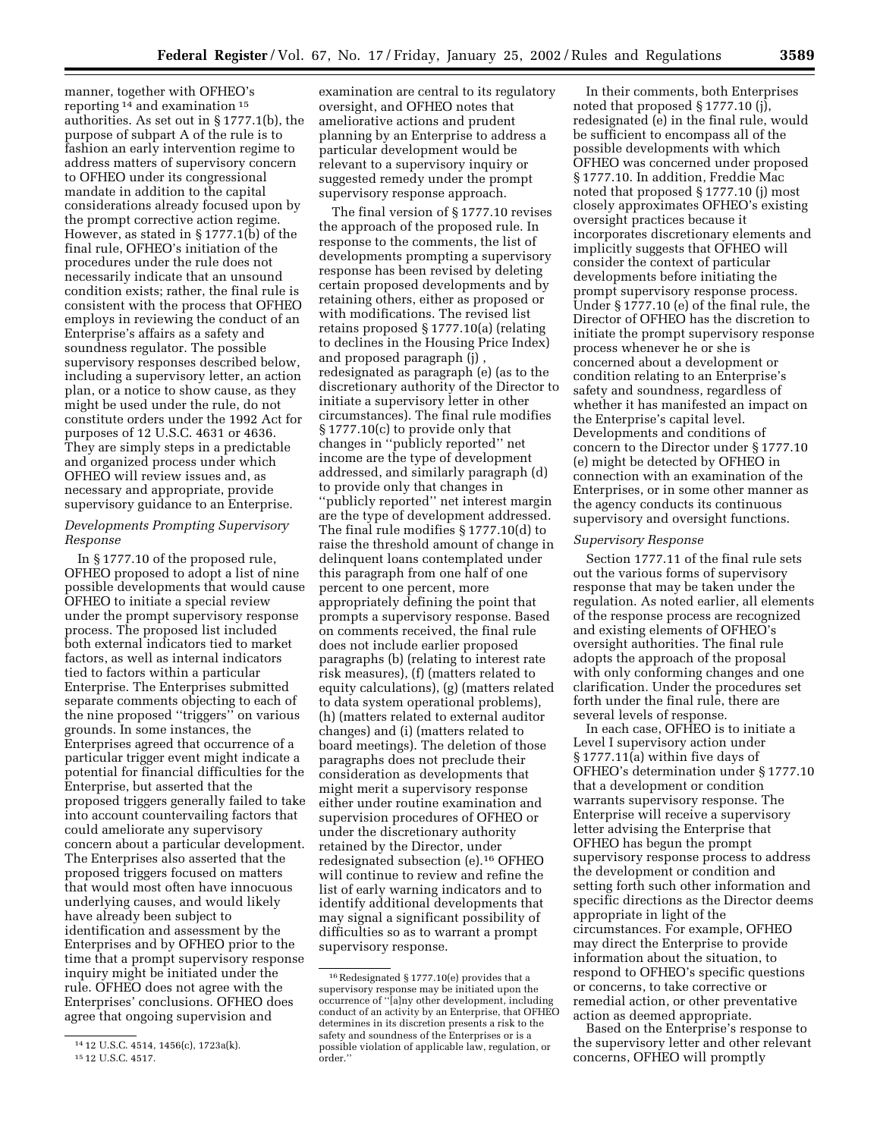manner, together with OFHEO's reporting 14 and examination 15 authorities. As set out in § 1777.1(b), the purpose of subpart A of the rule is to fashion an early intervention regime to address matters of supervisory concern to OFHEO under its congressional mandate in addition to the capital considerations already focused upon by the prompt corrective action regime. However, as stated in § 1777.1(b) of the final rule, OFHEO's initiation of the procedures under the rule does not necessarily indicate that an unsound condition exists; rather, the final rule is consistent with the process that OFHEO employs in reviewing the conduct of an Enterprise's affairs as a safety and soundness regulator. The possible supervisory responses described below, including a supervisory letter, an action plan, or a notice to show cause, as they might be used under the rule, do not constitute orders under the 1992 Act for purposes of 12 U.S.C. 4631 or 4636. They are simply steps in a predictable and organized process under which OFHEO will review issues and, as necessary and appropriate, provide supervisory guidance to an Enterprise.

# *Developments Prompting Supervisory Response*

In § 1777.10 of the proposed rule, OFHEO proposed to adopt a list of nine possible developments that would cause OFHEO to initiate a special review under the prompt supervisory response process. The proposed list included both external indicators tied to market factors, as well as internal indicators tied to factors within a particular Enterprise. The Enterprises submitted separate comments objecting to each of the nine proposed ''triggers'' on various grounds. In some instances, the Enterprises agreed that occurrence of a particular trigger event might indicate a potential for financial difficulties for the Enterprise, but asserted that the proposed triggers generally failed to take into account countervailing factors that could ameliorate any supervisory concern about a particular development. The Enterprises also asserted that the proposed triggers focused on matters that would most often have innocuous underlying causes, and would likely have already been subject to identification and assessment by the Enterprises and by OFHEO prior to the time that a prompt supervisory response inquiry might be initiated under the rule. OFHEO does not agree with the Enterprises' conclusions. OFHEO does agree that ongoing supervision and

examination are central to its regulatory oversight, and OFHEO notes that ameliorative actions and prudent planning by an Enterprise to address a particular development would be relevant to a supervisory inquiry or suggested remedy under the prompt supervisory response approach.

The final version of § 1777.10 revises the approach of the proposed rule. In response to the comments, the list of developments prompting a supervisory response has been revised by deleting certain proposed developments and by retaining others, either as proposed or with modifications. The revised list retains proposed § 1777.10(a) (relating to declines in the Housing Price Index) and proposed paragraph (j) , redesignated as paragraph (e) (as to the discretionary authority of the Director to initiate a supervisory letter in other circumstances). The final rule modifies § 1777.10(c) to provide only that changes in ''publicly reported'' net income are the type of development addressed, and similarly paragraph (d) to provide only that changes in ''publicly reported'' net interest margin are the type of development addressed. The final rule modifies § 1777.10(d) to raise the threshold amount of change in delinquent loans contemplated under this paragraph from one half of one percent to one percent, more appropriately defining the point that prompts a supervisory response. Based on comments received, the final rule does not include earlier proposed paragraphs (b) (relating to interest rate risk measures), (f) (matters related to equity calculations), (g) (matters related to data system operational problems), (h) (matters related to external auditor changes) and (i) (matters related to board meetings). The deletion of those paragraphs does not preclude their consideration as developments that might merit a supervisory response either under routine examination and supervision procedures of OFHEO or under the discretionary authority retained by the Director, under redesignated subsection (e).16 OFHEO will continue to review and refine the list of early warning indicators and to identify additional developments that may signal a significant possibility of difficulties so as to warrant a prompt supervisory response.

In their comments, both Enterprises noted that proposed § 1777.10 (j), redesignated (e) in the final rule, would be sufficient to encompass all of the possible developments with which OFHEO was concerned under proposed § 1777.10. In addition, Freddie Mac noted that proposed § 1777.10 (j) most closely approximates OFHEO's existing oversight practices because it incorporates discretionary elements and implicitly suggests that OFHEO will consider the context of particular developments before initiating the prompt supervisory response process. Under § 1777.10 (e) of the final rule, the Director of OFHEO has the discretion to initiate the prompt supervisory response process whenever he or she is concerned about a development or condition relating to an Enterprise's safety and soundness, regardless of whether it has manifested an impact on the Enterprise's capital level. Developments and conditions of concern to the Director under § 1777.10 (e) might be detected by OFHEO in connection with an examination of the Enterprises, or in some other manner as the agency conducts its continuous supervisory and oversight functions.

### *Supervisory Response*

Section 1777.11 of the final rule sets out the various forms of supervisory response that may be taken under the regulation. As noted earlier, all elements of the response process are recognized and existing elements of OFHEO's oversight authorities. The final rule adopts the approach of the proposal with only conforming changes and one clarification. Under the procedures set forth under the final rule, there are several levels of response.

In each case, OFHEO is to initiate a Level I supervisory action under § 1777.11(a) within five days of OFHEO's determination under § 1777.10 that a development or condition warrants supervisory response. The Enterprise will receive a supervisory letter advising the Enterprise that OFHEO has begun the prompt supervisory response process to address the development or condition and setting forth such other information and specific directions as the Director deems appropriate in light of the circumstances. For example, OFHEO may direct the Enterprise to provide information about the situation, to respond to OFHEO's specific questions or concerns, to take corrective or remedial action, or other preventative action as deemed appropriate.

Based on the Enterprise's response to the supervisory letter and other relevant concerns, OFHEO will promptly

<sup>14</sup> 12 U.S.C. 4514, 1456(c), 1723a(k).

<sup>15</sup> 12 U.S.C. 4517.

<sup>16</sup>Redesignated § 1777.10(e) provides that a supervisory response may be initiated upon the occurrence of ''[a]ny other development, including conduct of an activity by an Enterprise, that OFHEO determines in its discretion presents a risk to the safety and soundness of the Enterprises or is a possible violation of applicable law, regulation, or order.''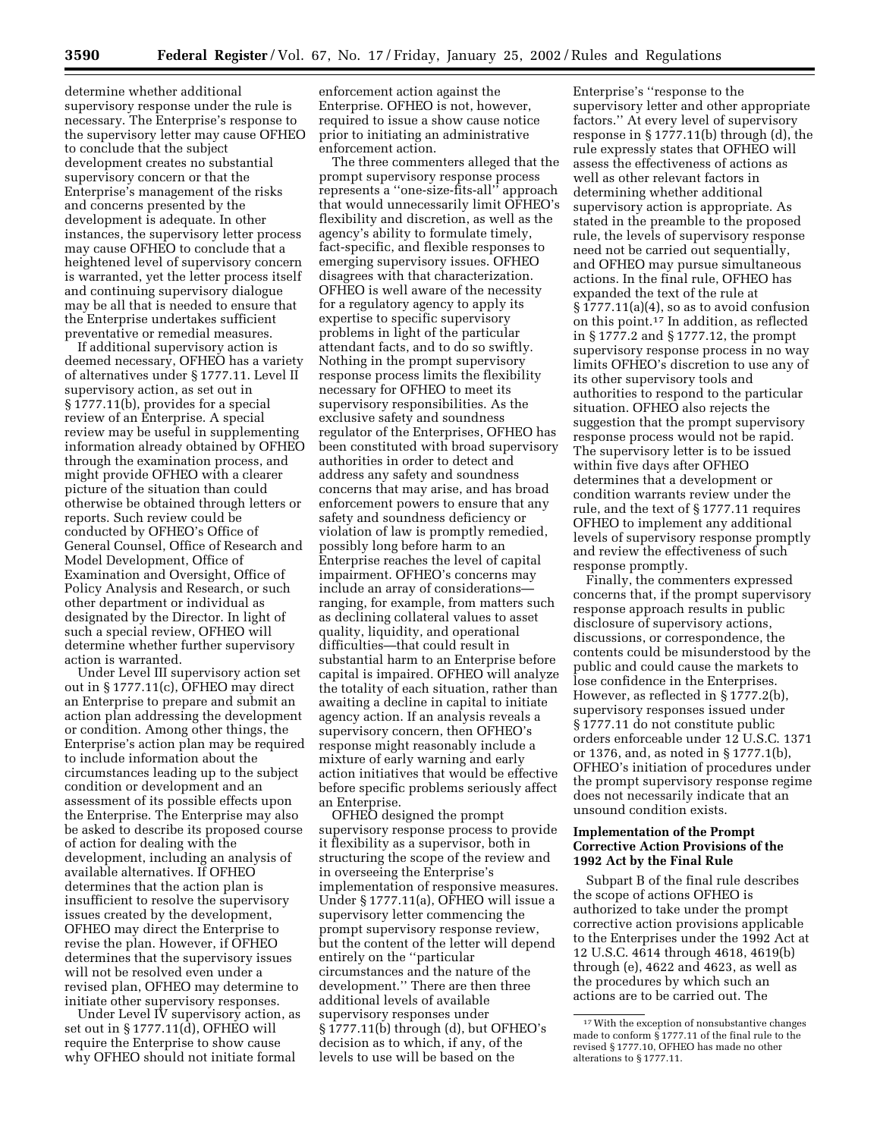determine whether additional supervisory response under the rule is necessary. The Enterprise's response to the supervisory letter may cause OFHEO to conclude that the subject development creates no substantial supervisory concern or that the Enterprise's management of the risks and concerns presented by the development is adequate. In other instances, the supervisory letter process may cause OFHEO to conclude that a heightened level of supervisory concern is warranted, yet the letter process itself and continuing supervisory dialogue may be all that is needed to ensure that the Enterprise undertakes sufficient preventative or remedial measures.

If additional supervisory action is deemed necessary, OFHEO has a variety of alternatives under § 1777.11. Level II supervisory action, as set out in § 1777.11(b), provides for a special review of an Enterprise. A special review may be useful in supplementing information already obtained by OFHEO through the examination process, and might provide OFHEO with a clearer picture of the situation than could otherwise be obtained through letters or reports. Such review could be conducted by OFHEO's Office of General Counsel, Office of Research and Model Development, Office of Examination and Oversight, Office of Policy Analysis and Research, or such other department or individual as designated by the Director. In light of such a special review, OFHEO will determine whether further supervisory action is warranted.

Under Level III supervisory action set out in § 1777.11(c), OFHEO may direct an Enterprise to prepare and submit an action plan addressing the development or condition. Among other things, the Enterprise's action plan may be required to include information about the circumstances leading up to the subject condition or development and an assessment of its possible effects upon the Enterprise. The Enterprise may also be asked to describe its proposed course of action for dealing with the development, including an analysis of available alternatives. If OFHEO determines that the action plan is insufficient to resolve the supervisory issues created by the development, OFHEO may direct the Enterprise to revise the plan. However, if OFHEO determines that the supervisory issues will not be resolved even under a revised plan, OFHEO may determine to initiate other supervisory responses.

Under Level IV supervisory action, as set out in § 1777.11(d), OFHEO will require the Enterprise to show cause why OFHEO should not initiate formal

enforcement action against the Enterprise. OFHEO is not, however, required to issue a show cause notice prior to initiating an administrative enforcement action.

The three commenters alleged that the prompt supervisory response process represents a ''one-size-fits-all'' approach that would unnecessarily limit OFHEO's flexibility and discretion, as well as the agency's ability to formulate timely, fact-specific, and flexible responses to emerging supervisory issues. OFHEO disagrees with that characterization. OFHEO is well aware of the necessity for a regulatory agency to apply its expertise to specific supervisory problems in light of the particular attendant facts, and to do so swiftly. Nothing in the prompt supervisory response process limits the flexibility necessary for OFHEO to meet its supervisory responsibilities. As the exclusive safety and soundness regulator of the Enterprises, OFHEO has been constituted with broad supervisory authorities in order to detect and address any safety and soundness concerns that may arise, and has broad enforcement powers to ensure that any safety and soundness deficiency or violation of law is promptly remedied, possibly long before harm to an Enterprise reaches the level of capital impairment. OFHEO's concerns may include an array of considerations ranging, for example, from matters such as declining collateral values to asset quality, liquidity, and operational difficulties—that could result in substantial harm to an Enterprise before capital is impaired. OFHEO will analyze the totality of each situation, rather than awaiting a decline in capital to initiate agency action. If an analysis reveals a supervisory concern, then OFHEO's response might reasonably include a mixture of early warning and early action initiatives that would be effective before specific problems seriously affect an Enterprise.

OFHEO designed the prompt supervisory response process to provide it flexibility as a supervisor, both in structuring the scope of the review and in overseeing the Enterprise's implementation of responsive measures. Under § 1777.11(a), OFHEO will issue a supervisory letter commencing the prompt supervisory response review, but the content of the letter will depend entirely on the ''particular circumstances and the nature of the development.'' There are then three additional levels of available supervisory responses under § 1777.11(b) through (d), but OFHEO's decision as to which, if any, of the levels to use will be based on the

Enterprise's ''response to the supervisory letter and other appropriate factors.'' At every level of supervisory response in § 1777.11(b) through (d), the rule expressly states that OFHEO will assess the effectiveness of actions as well as other relevant factors in determining whether additional supervisory action is appropriate. As stated in the preamble to the proposed rule, the levels of supervisory response need not be carried out sequentially, and OFHEO may pursue simultaneous actions. In the final rule, OFHEO has expanded the text of the rule at  $§ 1777.11(a)(4)$ , so as to avoid confusion on this point.17 In addition, as reflected in § 1777.2 and § 1777.12, the prompt supervisory response process in no way limits OFHEO's discretion to use any of its other supervisory tools and authorities to respond to the particular situation. OFHEO also rejects the suggestion that the prompt supervisory response process would not be rapid. The supervisory letter is to be issued within five days after OFHEO determines that a development or condition warrants review under the rule, and the text of § 1777.11 requires OFHEO to implement any additional levels of supervisory response promptly and review the effectiveness of such response promptly.

Finally, the commenters expressed concerns that, if the prompt supervisory response approach results in public disclosure of supervisory actions, discussions, or correspondence, the contents could be misunderstood by the public and could cause the markets to lose confidence in the Enterprises. However, as reflected in § 1777.2(b), supervisory responses issued under § 1777.11 do not constitute public orders enforceable under 12 U.S.C. 1371 or 1376, and, as noted in § 1777.1(b), OFHEO's initiation of procedures under the prompt supervisory response regime does not necessarily indicate that an unsound condition exists.

### **Implementation of the Prompt Corrective Action Provisions of the 1992 Act by the Final Rule**

Subpart B of the final rule describes the scope of actions OFHEO is authorized to take under the prompt corrective action provisions applicable to the Enterprises under the 1992 Act at 12 U.S.C. 4614 through 4618, 4619(b) through (e), 4622 and 4623, as well as the procedures by which such an actions are to be carried out. The

<sup>17</sup>With the exception of nonsubstantive changes made to conform § 1777.11 of the final rule to the revised § 1777.10, OFHEO has made no other alterations to § 1777.11.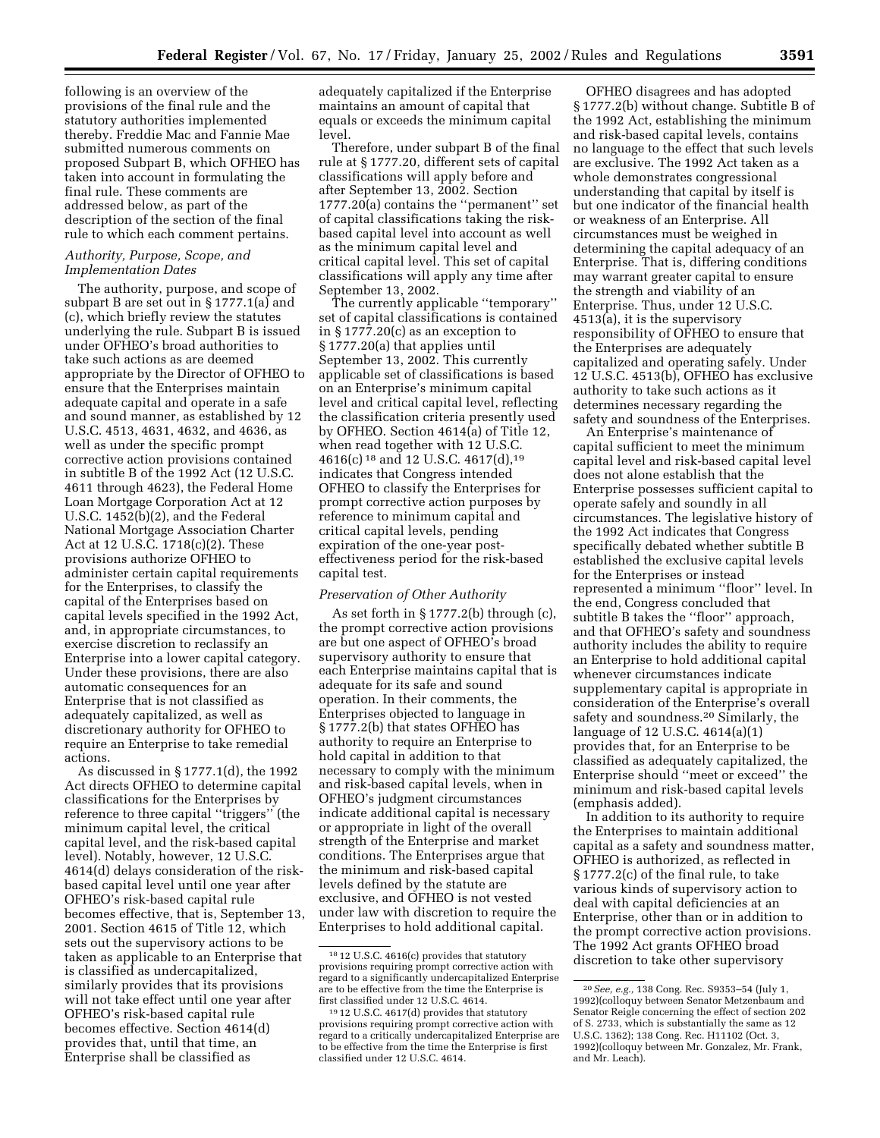following is an overview of the provisions of the final rule and the statutory authorities implemented thereby. Freddie Mac and Fannie Mae submitted numerous comments on proposed Subpart B, which OFHEO has taken into account in formulating the final rule. These comments are addressed below, as part of the description of the section of the final rule to which each comment pertains.

## *Authority, Purpose, Scope, and Implementation Dates*

The authority, purpose, and scope of subpart B are set out in § 1777.1(a) and (c), which briefly review the statutes underlying the rule. Subpart B is issued under OFHEO's broad authorities to take such actions as are deemed appropriate by the Director of OFHEO to ensure that the Enterprises maintain adequate capital and operate in a safe and sound manner, as established by 12 U.S.C. 4513, 4631, 4632, and 4636, as well as under the specific prompt corrective action provisions contained in subtitle B of the 1992 Act (12 U.S.C. 4611 through 4623), the Federal Home Loan Mortgage Corporation Act at 12 U.S.C. 1452(b)(2), and the Federal National Mortgage Association Charter Act at 12 U.S.C. 1718(c)(2). These provisions authorize OFHEO to administer certain capital requirements for the Enterprises, to classify the capital of the Enterprises based on capital levels specified in the 1992 Act, and, in appropriate circumstances, to exercise discretion to reclassify an Enterprise into a lower capital category. Under these provisions, there are also automatic consequences for an Enterprise that is not classified as adequately capitalized, as well as discretionary authority for OFHEO to require an Enterprise to take remedial actions.

As discussed in § 1777.1(d), the 1992 Act directs OFHEO to determine capital classifications for the Enterprises by reference to three capital ''triggers'' (the minimum capital level, the critical capital level, and the risk-based capital level). Notably, however, 12 U.S.C. 4614(d) delays consideration of the riskbased capital level until one year after OFHEO's risk-based capital rule becomes effective, that is, September 13, 2001. Section 4615 of Title 12, which sets out the supervisory actions to be taken as applicable to an Enterprise that is classified as undercapitalized, similarly provides that its provisions will not take effect until one year after OFHEO's risk-based capital rule becomes effective. Section 4614(d) provides that, until that time, an Enterprise shall be classified as

adequately capitalized if the Enterprise maintains an amount of capital that equals or exceeds the minimum capital level.

Therefore, under subpart B of the final rule at § 1777.20, different sets of capital classifications will apply before and after September 13, 2002. Section 1777.20(a) contains the ''permanent'' set of capital classifications taking the riskbased capital level into account as well as the minimum capital level and critical capital level. This set of capital classifications will apply any time after September 13, 2002.

The currently applicable ''temporary'' set of capital classifications is contained in § 1777.20(c) as an exception to § 1777.20(a) that applies until September 13, 2002. This currently applicable set of classifications is based on an Enterprise's minimum capital level and critical capital level, reflecting the classification criteria presently used by OFHEO. Section 4614(a) of Title 12, when read together with 12 U.S.C. 4616(c) 18 and 12 U.S.C. 4617(d),19 indicates that Congress intended OFHEO to classify the Enterprises for prompt corrective action purposes by reference to minimum capital and critical capital levels, pending expiration of the one-year posteffectiveness period for the risk-based capital test.

## *Preservation of Other Authority*

As set forth in § 1777.2(b) through (c), the prompt corrective action provisions are but one aspect of OFHEO's broad supervisory authority to ensure that each Enterprise maintains capital that is adequate for its safe and sound operation. In their comments, the Enterprises objected to language in § 1777.2(b) that states OFHEO has authority to require an Enterprise to hold capital in addition to that necessary to comply with the minimum and risk-based capital levels, when in OFHEO's judgment circumstances indicate additional capital is necessary or appropriate in light of the overall strength of the Enterprise and market conditions. The Enterprises argue that the minimum and risk-based capital levels defined by the statute are exclusive, and OFHEO is not vested under law with discretion to require the Enterprises to hold additional capital.

OFHEO disagrees and has adopted § 1777.2(b) without change. Subtitle B of the 1992 Act, establishing the minimum and risk-based capital levels, contains no language to the effect that such levels are exclusive. The 1992 Act taken as a whole demonstrates congressional understanding that capital by itself is but one indicator of the financial health or weakness of an Enterprise. All circumstances must be weighed in determining the capital adequacy of an Enterprise. That is, differing conditions may warrant greater capital to ensure the strength and viability of an Enterprise. Thus, under 12 U.S.C. 4513(a), it is the supervisory responsibility of OFHEO to ensure that the Enterprises are adequately capitalized and operating safely. Under 12 U.S.C. 4513(b), OFHEO has exclusive authority to take such actions as it determines necessary regarding the safety and soundness of the Enterprises.

An Enterprise's maintenance of capital sufficient to meet the minimum capital level and risk-based capital level does not alone establish that the Enterprise possesses sufficient capital to operate safely and soundly in all circumstances. The legislative history of the 1992 Act indicates that Congress specifically debated whether subtitle B established the exclusive capital levels for the Enterprises or instead represented a minimum ''floor'' level. In the end, Congress concluded that subtitle B takes the ''floor'' approach, and that OFHEO's safety and soundness authority includes the ability to require an Enterprise to hold additional capital whenever circumstances indicate supplementary capital is appropriate in consideration of the Enterprise's overall safety and soundness.20 Similarly, the language of 12 U.S.C. 4614(a)(1) provides that, for an Enterprise to be classified as adequately capitalized, the Enterprise should ''meet or exceed'' the minimum and risk-based capital levels (emphasis added).

In addition to its authority to require the Enterprises to maintain additional capital as a safety and soundness matter, OFHEO is authorized, as reflected in § 1777.2(c) of the final rule, to take various kinds of supervisory action to deal with capital deficiencies at an Enterprise, other than or in addition to the prompt corrective action provisions. The 1992 Act grants OFHEO broad discretion to take other supervisory

<sup>18</sup> 12 U.S.C. 4616(c) provides that statutory provisions requiring prompt corrective action with regard to a significantly undercapitalized Enterprise are to be effective from the time the Enterprise is first classified under 12 U.S.C. 4614.

<sup>19</sup> 12 U.S.C. 4617(d) provides that statutory provisions requiring prompt corrective action with regard to a critically undercapitalized Enterprise are to be effective from the time the Enterprise is first classified under 12 U.S.C. 4614.

<sup>20</sup>*See, e.g.,* 138 Cong. Rec. S9353–54 (July 1, 1992)(colloquy between Senator Metzenbaum and Senator Reigle concerning the effect of section 202 of S. 2733, which is substantially the same as 12 U.S.C. 1362); 138 Cong. Rec. H11102 (Oct. 3, 1992)(colloquy between Mr. Gonzalez, Mr. Frank, and Mr. Leach).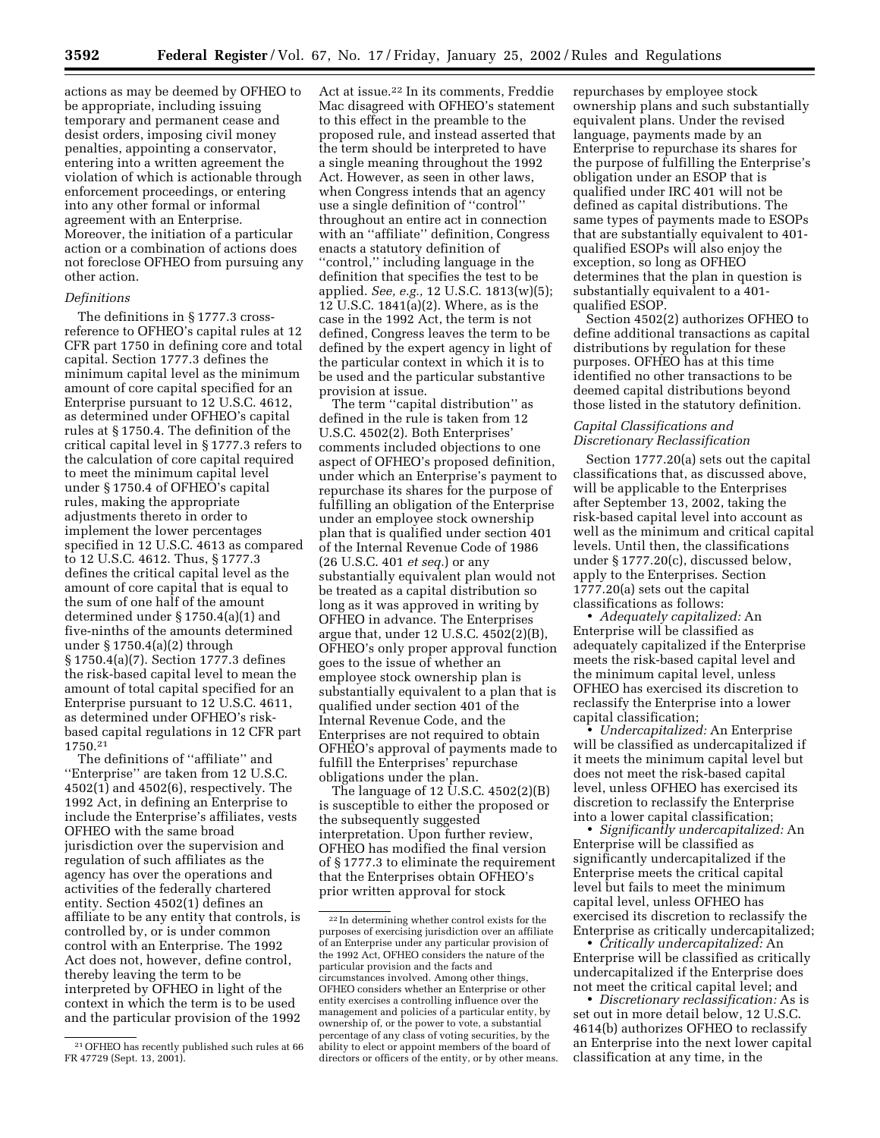actions as may be deemed by OFHEO to be appropriate, including issuing temporary and permanent cease and desist orders, imposing civil money penalties, appointing a conservator, entering into a written agreement the violation of which is actionable through enforcement proceedings, or entering into any other formal or informal agreement with an Enterprise. Moreover, the initiation of a particular action or a combination of actions does not foreclose OFHEO from pursuing any other action.

### *Definitions*

The definitions in § 1777.3 crossreference to OFHEO's capital rules at 12 CFR part 1750 in defining core and total capital. Section 1777.3 defines the minimum capital level as the minimum amount of core capital specified for an Enterprise pursuant to 12 U.S.C. 4612, as determined under OFHEO's capital rules at § 1750.4. The definition of the critical capital level in § 1777.3 refers to the calculation of core capital required to meet the minimum capital level under § 1750.4 of OFHEO's capital rules, making the appropriate adjustments thereto in order to implement the lower percentages specified in 12 U.S.C. 4613 as compared to 12 U.S.C. 4612. Thus, § 1777.3 defines the critical capital level as the amount of core capital that is equal to the sum of one half of the amount determined under § 1750.4(a)(1) and five-ninths of the amounts determined under § 1750.4(a)(2) through § 1750.4(a)(7). Section 1777.3 defines the risk-based capital level to mean the amount of total capital specified for an Enterprise pursuant to 12 U.S.C. 4611, as determined under OFHEO's riskbased capital regulations in 12 CFR part 1750.21

The definitions of ''affiliate'' and ''Enterprise'' are taken from 12 U.S.C. 4502(1) and 4502(6), respectively. The 1992 Act, in defining an Enterprise to include the Enterprise's affiliates, vests OFHEO with the same broad jurisdiction over the supervision and regulation of such affiliates as the agency has over the operations and activities of the federally chartered entity. Section 4502(1) defines an affiliate to be any entity that controls, is controlled by, or is under common control with an Enterprise. The 1992 Act does not, however, define control, thereby leaving the term to be interpreted by OFHEO in light of the context in which the term is to be used and the particular provision of the 1992 Act at issue.22 In its comments, Freddie Mac disagreed with OFHEO's statement to this effect in the preamble to the proposed rule, and instead asserted that the term should be interpreted to have a single meaning throughout the 1992 Act. However, as seen in other laws, when Congress intends that an agency use a single definition of ''control'' throughout an entire act in connection with an ''affiliate'' definition, Congress enacts a statutory definition of ''control,'' including language in the definition that specifies the test to be applied. *See, e.g.,* 12 U.S.C. 1813(w)(5); 12 U.S.C. 1841(a)(2). Where, as is the case in the 1992 Act, the term is not defined, Congress leaves the term to be defined by the expert agency in light of the particular context in which it is to be used and the particular substantive provision at issue.

The term "capital distribution" as defined in the rule is taken from 12 U.S.C. 4502(2). Both Enterprises' comments included objections to one aspect of OFHEO's proposed definition, under which an Enterprise's payment to repurchase its shares for the purpose of fulfilling an obligation of the Enterprise under an employee stock ownership plan that is qualified under section 401 of the Internal Revenue Code of 1986 (26 U.S.C. 401 *et seq.*) or any substantially equivalent plan would not be treated as a capital distribution so long as it was approved in writing by OFHEO in advance. The Enterprises argue that, under 12 U.S.C. 4502(2)(B), OFHEO's only proper approval function goes to the issue of whether an employee stock ownership plan is substantially equivalent to a plan that is qualified under section 401 of the Internal Revenue Code, and the Enterprises are not required to obtain OFHEO's approval of payments made to fulfill the Enterprises' repurchase obligations under the plan.

The language of 12 U.S.C. 4502(2)(B) is susceptible to either the proposed or the subsequently suggested interpretation. Upon further review, OFHEO has modified the final version of § 1777.3 to eliminate the requirement that the Enterprises obtain OFHEO's prior written approval for stock

repurchases by employee stock ownership plans and such substantially equivalent plans. Under the revised language, payments made by an Enterprise to repurchase its shares for the purpose of fulfilling the Enterprise's obligation under an ESOP that is qualified under IRC 401 will not be defined as capital distributions. The same types of payments made to ESOPs that are substantially equivalent to 401 qualified ESOPs will also enjoy the exception, so long as OFHEO determines that the plan in question is substantially equivalent to a 401 qualified ESOP.

Section 4502(2) authorizes OFHEO to define additional transactions as capital distributions by regulation for these purposes. OFHEO has at this time identified no other transactions to be deemed capital distributions beyond those listed in the statutory definition.

# *Capital Classifications and Discretionary Reclassification*

Section 1777.20(a) sets out the capital classifications that, as discussed above, will be applicable to the Enterprises after September 13, 2002, taking the risk-based capital level into account as well as the minimum and critical capital levels. Until then, the classifications under § 1777.20(c), discussed below, apply to the Enterprises. Section 1777.20(a) sets out the capital classifications as follows:

• *Adequately capitalized:* An Enterprise will be classified as adequately capitalized if the Enterprise meets the risk-based capital level and the minimum capital level, unless OFHEO has exercised its discretion to reclassify the Enterprise into a lower capital classification;

• *Undercapitalized:* An Enterprise will be classified as undercapitalized if it meets the minimum capital level but does not meet the risk-based capital level, unless OFHEO has exercised its discretion to reclassify the Enterprise into a lower capital classification;

• *Significantly undercapitalized:* An Enterprise will be classified as significantly undercapitalized if the Enterprise meets the critical capital level but fails to meet the minimum capital level, unless OFHEO has exercised its discretion to reclassify the Enterprise as critically undercapitalized;

• *Critically undercapitalized:* An Enterprise will be classified as critically undercapitalized if the Enterprise does not meet the critical capital level; and

• *Discretionary reclassification:* As is set out in more detail below, 12 U.S.C. 4614(b) authorizes OFHEO to reclassify an Enterprise into the next lower capital classification at any time, in the

<sup>21</sup>OFHEO has recently published such rules at 66 FR 47729 (Sept. 13, 2001).

<sup>22</sup> In determining whether control exists for the purposes of exercising jurisdiction over an affiliate of an Enterprise under any particular provision of the 1992 Act, OFHEO considers the nature of the particular provision and the facts and circumstances involved. Among other things, OFHEO considers whether an Enterprise or other entity exercises a controlling influence over the management and policies of a particular entity, by ownership of, or the power to vote, a substantial percentage of any class of voting securities, by the ability to elect or appoint members of the board of directors or officers of the entity, or by other means.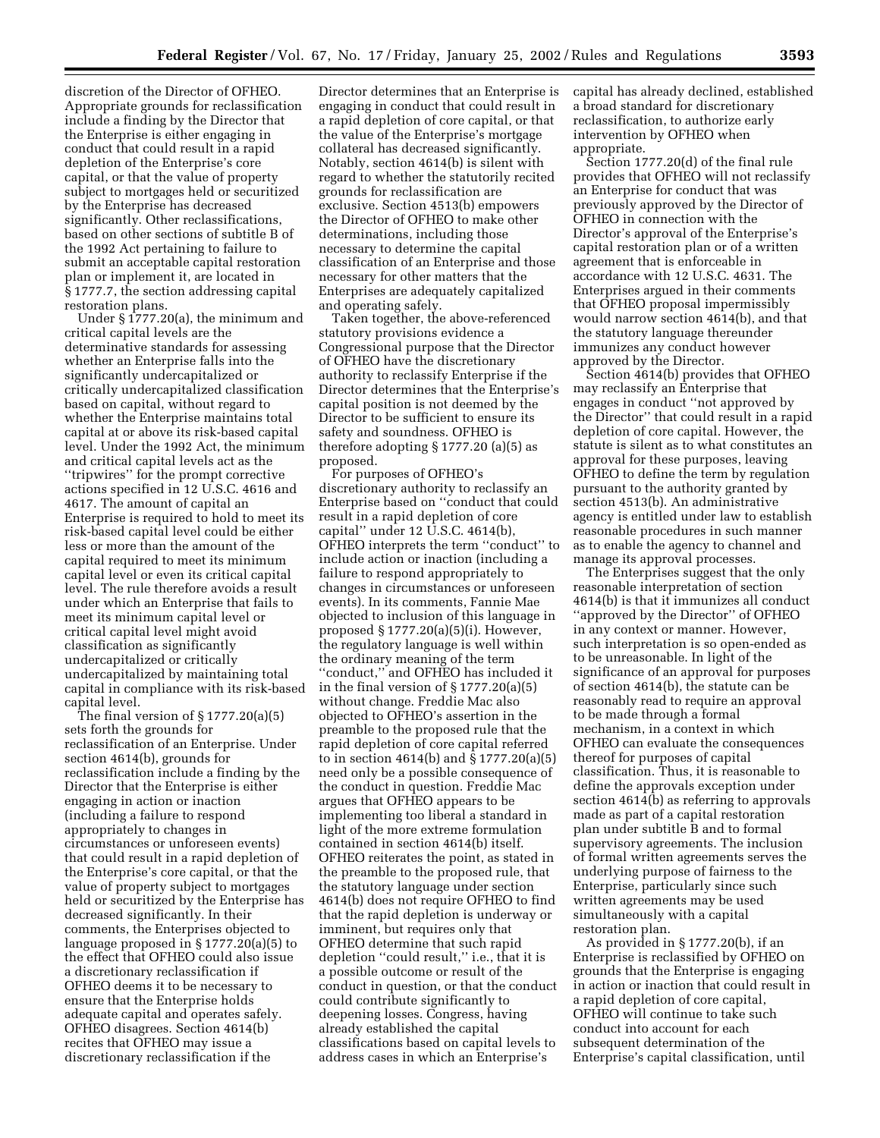discretion of the Director of OFHEO. Appropriate grounds for reclassification include a finding by the Director that the Enterprise is either engaging in conduct that could result in a rapid depletion of the Enterprise's core capital, or that the value of property subject to mortgages held or securitized by the Enterprise has decreased significantly. Other reclassifications, based on other sections of subtitle B of the 1992 Act pertaining to failure to submit an acceptable capital restoration plan or implement it, are located in § 1777.7, the section addressing capital restoration plans.

Under § 1777.20(a), the minimum and critical capital levels are the determinative standards for assessing whether an Enterprise falls into the significantly undercapitalized or critically undercapitalized classification based on capital, without regard to whether the Enterprise maintains total capital at or above its risk-based capital level. Under the 1992 Act, the minimum and critical capital levels act as the ''tripwires'' for the prompt corrective actions specified in 12 U.S.C. 4616 and 4617. The amount of capital an Enterprise is required to hold to meet its risk-based capital level could be either less or more than the amount of the capital required to meet its minimum capital level or even its critical capital level. The rule therefore avoids a result under which an Enterprise that fails to meet its minimum capital level or critical capital level might avoid classification as significantly undercapitalized or critically undercapitalized by maintaining total capital in compliance with its risk-based capital level.

The final version of § 1777.20(a)(5) sets forth the grounds for reclassification of an Enterprise. Under section 4614(b), grounds for reclassification include a finding by the Director that the Enterprise is either engaging in action or inaction (including a failure to respond appropriately to changes in circumstances or unforeseen events) that could result in a rapid depletion of the Enterprise's core capital, or that the value of property subject to mortgages held or securitized by the Enterprise has decreased significantly. In their comments, the Enterprises objected to language proposed in § 1777.20(a)(5) to the effect that OFHEO could also issue a discretionary reclassification if OFHEO deems it to be necessary to ensure that the Enterprise holds adequate capital and operates safely. OFHEO disagrees. Section 4614(b) recites that OFHEO may issue a discretionary reclassification if the

Director determines that an Enterprise is engaging in conduct that could result in a rapid depletion of core capital, or that the value of the Enterprise's mortgage collateral has decreased significantly. Notably, section 4614(b) is silent with regard to whether the statutorily recited grounds for reclassification are exclusive. Section 4513(b) empowers the Director of OFHEO to make other determinations, including those necessary to determine the capital classification of an Enterprise and those necessary for other matters that the Enterprises are adequately capitalized and operating safely.

Taken together, the above-referenced statutory provisions evidence a Congressional purpose that the Director of OFHEO have the discretionary authority to reclassify Enterprise if the Director determines that the Enterprise's capital position is not deemed by the Director to be sufficient to ensure its safety and soundness. OFHEO is therefore adopting  $\S 1777.20$  (a)(5) as proposed.

For purposes of OFHEO's discretionary authority to reclassify an Enterprise based on ''conduct that could result in a rapid depletion of core capital'' under 12 U.S.C. 4614(b), OFHEO interprets the term ''conduct'' to include action or inaction (including a failure to respond appropriately to changes in circumstances or unforeseen events). In its comments, Fannie Mae objected to inclusion of this language in proposed § 1777.20(a)(5)(i). However, the regulatory language is well within the ordinary meaning of the term ''conduct,'' and OFHEO has included it in the final version of § 1777.20(a)(5) without change. Freddie Mac also objected to OFHEO's assertion in the preamble to the proposed rule that the rapid depletion of core capital referred to in section 4614(b) and § 1777.20(a)(5) need only be a possible consequence of the conduct in question. Freddie Mac argues that OFHEO appears to be implementing too liberal a standard in light of the more extreme formulation contained in section 4614(b) itself. OFHEO reiterates the point, as stated in the preamble to the proposed rule, that the statutory language under section 4614(b) does not require OFHEO to find that the rapid depletion is underway or imminent, but requires only that OFHEO determine that such rapid depletion ''could result,'' i.e., that it is a possible outcome or result of the conduct in question, or that the conduct could contribute significantly to deepening losses. Congress, having already established the capital classifications based on capital levels to address cases in which an Enterprise's

capital has already declined, established a broad standard for discretionary reclassification, to authorize early intervention by OFHEO when appropriate.

Section 1777.20(d) of the final rule provides that OFHEO will not reclassify an Enterprise for conduct that was previously approved by the Director of OFHEO in connection with the Director's approval of the Enterprise's capital restoration plan or of a written agreement that is enforceable in accordance with 12 U.S.C. 4631. The Enterprises argued in their comments that OFHEO proposal impermissibly would narrow section 4614(b), and that the statutory language thereunder immunizes any conduct however approved by the Director.

Section 4614(b) provides that OFHEO may reclassify an Enterprise that engages in conduct ''not approved by the Director'' that could result in a rapid depletion of core capital. However, the statute is silent as to what constitutes an approval for these purposes, leaving OFHEO to define the term by regulation pursuant to the authority granted by section 4513(b). An administrative agency is entitled under law to establish reasonable procedures in such manner as to enable the agency to channel and manage its approval processes.

The Enterprises suggest that the only reasonable interpretation of section 4614(b) is that it immunizes all conduct ''approved by the Director'' of OFHEO in any context or manner. However, such interpretation is so open-ended as to be unreasonable. In light of the significance of an approval for purposes of section 4614(b), the statute can be reasonably read to require an approval to be made through a formal mechanism, in a context in which OFHEO can evaluate the consequences thereof for purposes of capital classification. Thus, it is reasonable to define the approvals exception under section 4614(b) as referring to approvals made as part of a capital restoration plan under subtitle B and to formal supervisory agreements. The inclusion of formal written agreements serves the underlying purpose of fairness to the Enterprise, particularly since such written agreements may be used simultaneously with a capital restoration plan.

As provided in § 1777.20(b), if an Enterprise is reclassified by OFHEO on grounds that the Enterprise is engaging in action or inaction that could result in a rapid depletion of core capital, OFHEO will continue to take such conduct into account for each subsequent determination of the Enterprise's capital classification, until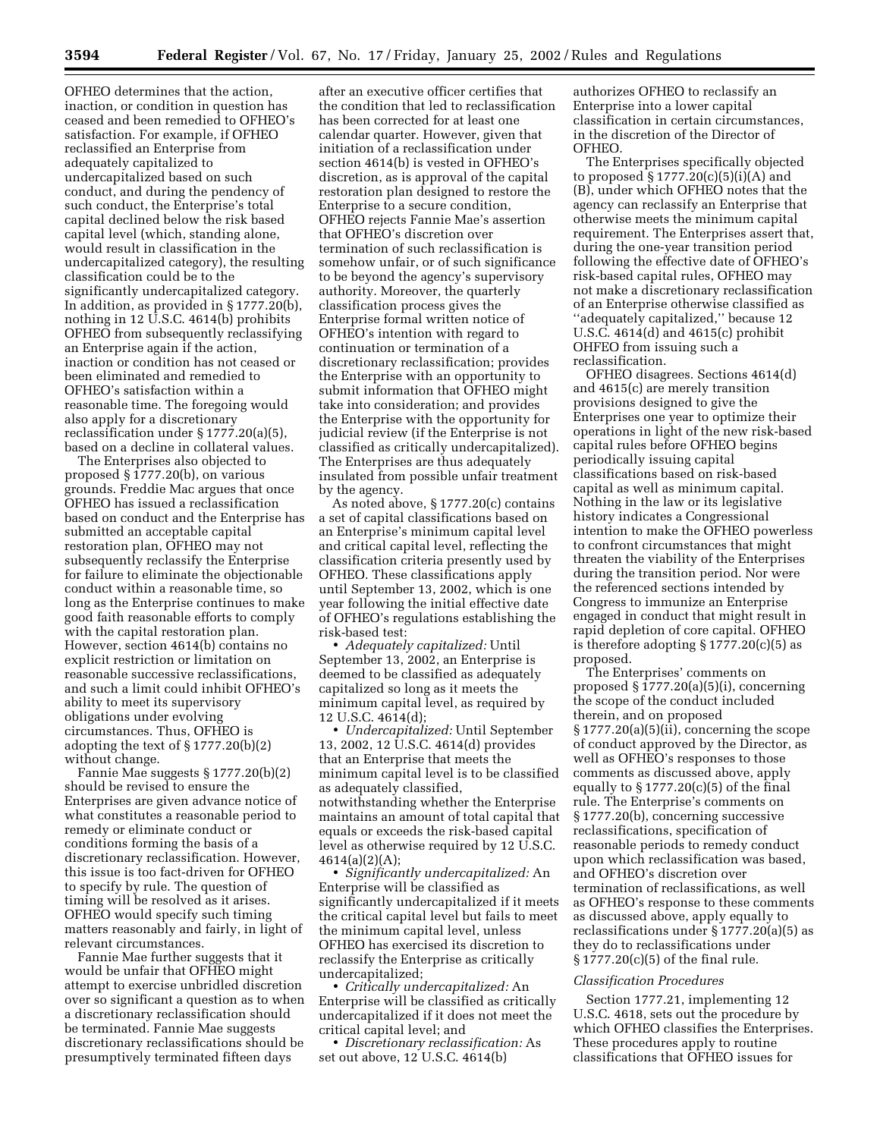OFHEO determines that the action, inaction, or condition in question has ceased and been remedied to OFHEO's satisfaction. For example, if OFHEO reclassified an Enterprise from adequately capitalized to undercapitalized based on such conduct, and during the pendency of such conduct, the Enterprise's total capital declined below the risk based capital level (which, standing alone, would result in classification in the undercapitalized category), the resulting classification could be to the significantly undercapitalized category. In addition, as provided in § 1777.20(b), nothing in 12 U.S.C. 4614(b) prohibits OFHEO from subsequently reclassifying an Enterprise again if the action, inaction or condition has not ceased or been eliminated and remedied to OFHEO's satisfaction within a reasonable time. The foregoing would also apply for a discretionary reclassification under § 1777.20(a)(5), based on a decline in collateral values.

The Enterprises also objected to proposed § 1777.20(b), on various grounds. Freddie Mac argues that once OFHEO has issued a reclassification based on conduct and the Enterprise has submitted an acceptable capital restoration plan, OFHEO may not subsequently reclassify the Enterprise for failure to eliminate the objectionable conduct within a reasonable time, so long as the Enterprise continues to make good faith reasonable efforts to comply with the capital restoration plan. However, section 4614(b) contains no explicit restriction or limitation on reasonable successive reclassifications, and such a limit could inhibit OFHEO's ability to meet its supervisory obligations under evolving circumstances. Thus, OFHEO is adopting the text of § 1777.20(b)(2) without change.

Fannie Mae suggests § 1777.20(b)(2) should be revised to ensure the Enterprises are given advance notice of what constitutes a reasonable period to remedy or eliminate conduct or conditions forming the basis of a discretionary reclassification. However, this issue is too fact-driven for OFHEO to specify by rule. The question of timing will be resolved as it arises. OFHEO would specify such timing matters reasonably and fairly, in light of relevant circumstances.

Fannie Mae further suggests that it would be unfair that OFHEO might attempt to exercise unbridled discretion over so significant a question as to when a discretionary reclassification should be terminated. Fannie Mae suggests discretionary reclassifications should be presumptively terminated fifteen days

after an executive officer certifies that the condition that led to reclassification has been corrected for at least one calendar quarter. However, given that initiation of a reclassification under section 4614(b) is vested in OFHEO's discretion, as is approval of the capital restoration plan designed to restore the Enterprise to a secure condition, OFHEO rejects Fannie Mae's assertion that OFHEO's discretion over termination of such reclassification is somehow unfair, or of such significance to be beyond the agency's supervisory authority. Moreover, the quarterly classification process gives the Enterprise formal written notice of OFHEO's intention with regard to continuation or termination of a discretionary reclassification; provides the Enterprise with an opportunity to submit information that OFHEO might take into consideration; and provides the Enterprise with the opportunity for judicial review (if the Enterprise is not classified as critically undercapitalized). The Enterprises are thus adequately insulated from possible unfair treatment by the agency.

As noted above, § 1777.20(c) contains a set of capital classifications based on an Enterprise's minimum capital level and critical capital level, reflecting the classification criteria presently used by OFHEO. These classifications apply until September 13, 2002, which is one year following the initial effective date of OFHEO's regulations establishing the risk-based test:

• *Adequately capitalized:* Until September 13, 2002, an Enterprise is deemed to be classified as adequately capitalized so long as it meets the minimum capital level, as required by 12 U.S.C. 4614(d);

• *Undercapitalized:* Until September 13, 2002, 12 U.S.C. 4614(d) provides that an Enterprise that meets the minimum capital level is to be classified as adequately classified, notwithstanding whether the Enterprise maintains an amount of total capital that equals or exceeds the risk-based capital level as otherwise required by 12 U.S.C.  $4614(a)(2)(A);$ 

• *Significantly undercapitalized:* An Enterprise will be classified as significantly undercapitalized if it meets the critical capital level but fails to meet the minimum capital level, unless OFHEO has exercised its discretion to reclassify the Enterprise as critically undercapitalized;

• *Critically undercapitalized:* An Enterprise will be classified as critically undercapitalized if it does not meet the critical capital level; and

• *Discretionary reclassification:* As set out above, 12 U.S.C. 4614(b)

authorizes OFHEO to reclassify an Enterprise into a lower capital classification in certain circumstances, in the discretion of the Director of OFHEO.

The Enterprises specifically objected to proposed  $\S 1777.20(c)(5)(i)(A)$  and (B), under which OFHEO notes that the agency can reclassify an Enterprise that otherwise meets the minimum capital requirement. The Enterprises assert that, during the one-year transition period following the effective date of OFHEO's risk-based capital rules, OFHEO may not make a discretionary reclassification of an Enterprise otherwise classified as ''adequately capitalized,'' because 12 U.S.C. 4614(d) and 4615(c) prohibit OHFEO from issuing such a reclassification.

OFHEO disagrees. Sections 4614(d) and 4615(c) are merely transition provisions designed to give the Enterprises one year to optimize their operations in light of the new risk-based capital rules before OFHEO begins periodically issuing capital classifications based on risk-based capital as well as minimum capital. Nothing in the law or its legislative history indicates a Congressional intention to make the OFHEO powerless to confront circumstances that might threaten the viability of the Enterprises during the transition period. Nor were the referenced sections intended by Congress to immunize an Enterprise engaged in conduct that might result in rapid depletion of core capital. OFHEO is therefore adopting § 1777.20(c)(5) as proposed.

The Enterprises' comments on proposed § 1777.20(a)(5)(i), concerning the scope of the conduct included therein, and on proposed § 1777.20(a)(5)(ii), concerning the scope of conduct approved by the Director, as well as OFHEO's responses to those comments as discussed above, apply equally to  $\S 1777.20(c)(5)$  of the final rule. The Enterprise's comments on § 1777.20(b), concerning successive reclassifications, specification of reasonable periods to remedy conduct upon which reclassification was based, and OFHEO's discretion over termination of reclassifications, as well as OFHEO's response to these comments as discussed above, apply equally to reclassifications under § 1777.20(a)(5) as they do to reclassifications under § 1777.20(c)(5) of the final rule.

#### *Classification Procedures*

Section 1777.21, implementing 12 U.S.C. 4618, sets out the procedure by which OFHEO classifies the Enterprises. These procedures apply to routine classifications that OFHEO issues for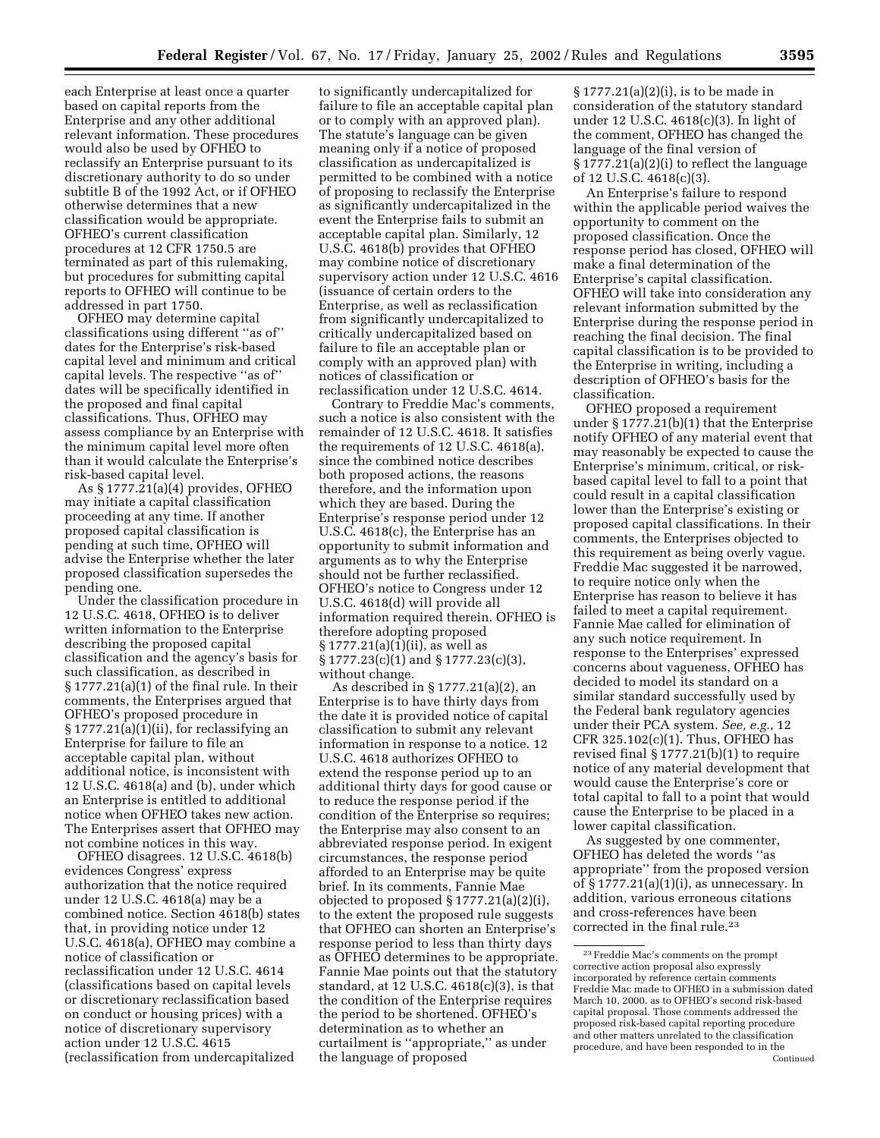each Enterprise at least once a quarter based on capital reports from the Enterprise and any other additional relevant information. These procedures would also be used by OFHEO to reclassify an Enterprise pursuant to its discretionary authority to do so under subtitle B of the 1992 Act, or if OFHEO otherwise determines that a new classification would be appropriate. OFHEO's current classification procedures at 12 CFR 1750.5 are terminated as part of this rulemaking, but procedures for submitting capital reports to OFHEO will continue to be addressed in part 1750.

OFHEO may determine capital classifications using different ''as of'' dates for the Enterprise's risk-based capital level and minimum and critical capital levels. The respective ''as of'' dates will be specifically identified in the proposed and final capital classifications. Thus, OFHEO may assess compliance by an Enterprise with the minimum capital level more often than it would calculate the Enterprise's risk-based capital level.

As  $\S 1777.\overline{2}1(a)(4)$  provides, OFHEO may initiate a capital classification proceeding at any time. If another proposed capital classification is pending at such time, OFHEO will advise the Enterprise whether the later proposed classification supersedes the pending one.

Under the classification procedure in 12 U.S.C. 4618, OFHEO is to deliver written information to the Enterprise describing the proposed capital classification and the agency's basis for such classification, as described in  $§ 1777.21(a)(1)$  of the final rule. In their comments, the Enterprises argued that OFHEO's proposed procedure in § 1777.21(a)(1)(ii), for reclassifying an Enterprise for failure to file an acceptable capital plan, without additional notice, is inconsistent with 12 U.S.C. 4618(a) and (b), under which an Enterprise is entitled to additional notice when OFHEO takes new action. The Enterprises assert that OFHEO may not combine notices in this way.

OFHEO disagrees. 12 U.S.C. 4618(b) evidences Congress' express authorization that the notice required under 12 U.S.C. 4618(a) may be a combined notice. Section 4618(b) states that, in providing notice under 12 U.S.C. 4618(a), OFHEO may combine a notice of classification or reclassification under 12 U.S.C. 4614 (classifications based on capital levels or discretionary reclassification based on conduct or housing prices) with a notice of discretionary supervisory action under 12 U.S.C. 4615 (reclassification from undercapitalized

to significantly undercapitalized for failure to file an acceptable capital plan or to comply with an approved plan). The statute's language can be given meaning only if a notice of proposed classification as undercapitalized is permitted to be combined with a notice of proposing to reclassify the Enterprise as significantly undercapitalized in the event the Enterprise fails to submit an acceptable capital plan. Similarly, 12 U.S.C. 4618(b) provides that OFHEO may combine notice of discretionary supervisory action under 12 U.S.C. 4616 (issuance of certain orders to the Enterprise, as well as reclassification from significantly undercapitalized to critically undercapitalized based on failure to file an acceptable plan or comply with an approved plan) with notices of classification or reclassification under 12 U.S.C. 4614.

Contrary to Freddie Mac's comments, such a notice is also consistent with the remainder of 12 U.S.C. 4618. It satisfies the requirements of 12 U.S.C. 4618(a), since the combined notice describes both proposed actions, the reasons therefore, and the information upon which they are based. During the Enterprise's response period under 12 U.S.C. 4618(c), the Enterprise has an opportunity to submit information and arguments as to why the Enterprise should not be further reclassified. OFHEO's notice to Congress under 12 U.S.C. 4618(d) will provide all information required therein. OFHEO is therefore adopting proposed § 1777.21(a)(1)(ii), as well as § 1777.23(c)(1) and § 1777.23(c)(3), without change.

As described in § 1777.21(a)(2), an Enterprise is to have thirty days from the date it is provided notice of capital classification to submit any relevant information in response to a notice. 12 U.S.C. 4618 authorizes OFHEO to extend the response period up to an additional thirty days for good cause or to reduce the response period if the condition of the Enterprise so requires; the Enterprise may also consent to an abbreviated response period. In exigent circumstances, the response period afforded to an Enterprise may be quite brief. In its comments, Fannie Mae objected to proposed § 1777.21(a)(2)(i), to the extent the proposed rule suggests that OFHEO can shorten an Enterprise's response period to less than thirty days as OFHEO determines to be appropriate. Fannie Mae points out that the statutory standard, at  $12$  U.S.C. 4618(c)(3), is that the condition of the Enterprise requires the period to be shortened. OFHEO's determination as to whether an curtailment is ''appropriate,'' as under the language of proposed

§ 1777.21(a)(2)(i), is to be made in consideration of the statutory standard under 12 U.S.C. 4618(c)(3). In light of the comment, OFHEO has changed the language of the final version of § 1777.21(a)(2)(i) to reflect the language of 12 U.S.C. 4618(c)(3).

An Enterprise's failure to respond within the applicable period waives the opportunity to comment on the proposed classification. Once the response period has closed, OFHEO will make a final determination of the Enterprise's capital classification. OFHEO will take into consideration any relevant information submitted by the Enterprise during the response period in reaching the final decision. The final capital classification is to be provided to the Enterprise in writing, including a description of OFHEO's basis for the classification.

OFHEO proposed a requirement under § 1777.21(b)(1) that the Enterprise notify OFHEO of any material event that may reasonably be expected to cause the Enterprise's minimum, critical, or riskbased capital level to fall to a point that could result in a capital classification lower than the Enterprise's existing or proposed capital classifications. In their comments, the Enterprises objected to this requirement as being overly vague. Freddie Mac suggested it be narrowed, to require notice only when the Enterprise has reason to believe it has failed to meet a capital requirement. Fannie Mae called for elimination of any such notice requirement. In response to the Enterprises' expressed concerns about vagueness, OFHEO has decided to model its standard on a similar standard successfully used by the Federal bank regulatory agencies under their PCA system. *See, e.g.*, 12 CFR 325.102(c)(1). Thus, OFHEO has revised final § 1777.21(b)(1) to require notice of any material development that would cause the Enterprise's core or total capital to fall to a point that would cause the Enterprise to be placed in a lower capital classification.

As suggested by one commenter, OFHEO has deleted the words ''as appropriate'' from the proposed version of § 1777.21(a)(1)(i), as unnecessary. In addition, various erroneous citations and cross-references have been corrected in the final rule.23

<sup>23</sup>Freddie Mac's comments on the prompt corrective action proposal also expressly incorporated by reference certain comments Freddie Mac made to OFHEO in a submission dated March 10, 2000, as to OFHEO's second risk-based capital proposal. Those comments addressed the proposed risk-based capital reporting procedure and other matters unrelated to the classification procedure, and have been responded to in the Continued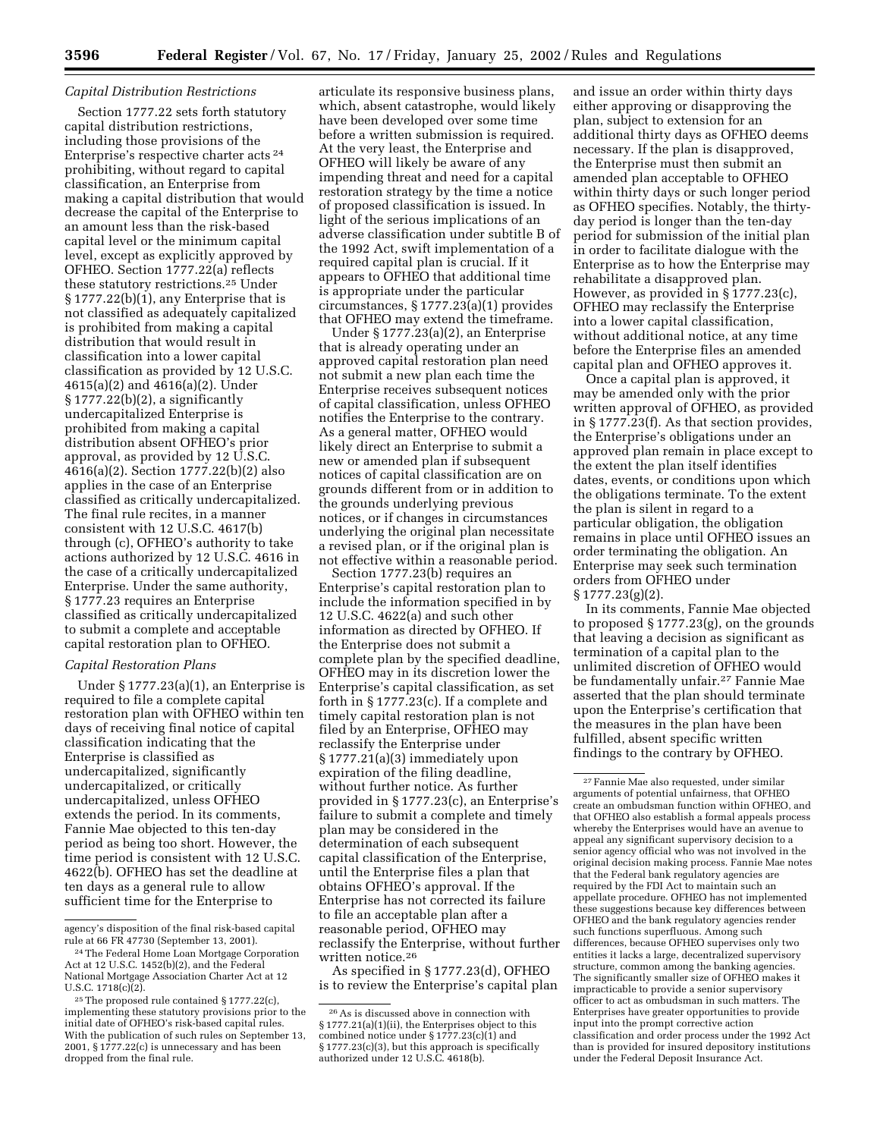### *Capital Distribution Restrictions*

Section 1777.22 sets forth statutory capital distribution restrictions, including those provisions of the Enterprise's respective charter acts 24 prohibiting, without regard to capital classification, an Enterprise from making a capital distribution that would decrease the capital of the Enterprise to an amount less than the risk-based capital level or the minimum capital level, except as explicitly approved by OFHEO. Section 1777.22(a) reflects these statutory restrictions.25 Under § 1777.22(b)(1), any Enterprise that is not classified as adequately capitalized is prohibited from making a capital distribution that would result in classification into a lower capital classification as provided by 12 U.S.C. 4615(a)(2) and 4616(a)(2). Under § 1777.22(b)(2), a significantly undercapitalized Enterprise is prohibited from making a capital distribution absent OFHEO's prior approval, as provided by 12 U.S.C. 4616(a)(2). Section 1777.22(b)(2) also applies in the case of an Enterprise classified as critically undercapitalized. The final rule recites, in a manner consistent with 12 U.S.C. 4617(b) through (c), OFHEO's authority to take actions authorized by 12 U.S.C. 4616 in the case of a critically undercapitalized Enterprise. Under the same authority, § 1777.23 requires an Enterprise classified as critically undercapitalized to submit a complete and acceptable capital restoration plan to OFHEO.

## *Capital Restoration Plans*

Under § 1777.23(a)(1), an Enterprise is required to file a complete capital restoration plan with OFHEO within ten days of receiving final notice of capital classification indicating that the Enterprise is classified as undercapitalized, significantly undercapitalized, or critically undercapitalized, unless OFHEO extends the period. In its comments, Fannie Mae objected to this ten-day period as being too short. However, the time period is consistent with 12 U.S.C. 4622(b). OFHEO has set the deadline at ten days as a general rule to allow sufficient time for the Enterprise to

articulate its responsive business plans, which, absent catastrophe, would likely have been developed over some time before a written submission is required. At the very least, the Enterprise and OFHEO will likely be aware of any impending threat and need for a capital restoration strategy by the time a notice of proposed classification is issued. In light of the serious implications of an adverse classification under subtitle B of the 1992 Act, swift implementation of a required capital plan is crucial. If it appears to OFHEO that additional time is appropriate under the particular circumstances, § 1777.23(a)(1) provides that OFHEO may extend the timeframe.

Under § 1777.23(a)(2), an Enterprise that is already operating under an approved capital restoration plan need not submit a new plan each time the Enterprise receives subsequent notices of capital classification, unless OFHEO notifies the Enterprise to the contrary. As a general matter, OFHEO would likely direct an Enterprise to submit a new or amended plan if subsequent notices of capital classification are on grounds different from or in addition to the grounds underlying previous notices, or if changes in circumstances underlying the original plan necessitate a revised plan, or if the original plan is not effective within a reasonable period.

Section 1777.23(b) requires an Enterprise's capital restoration plan to include the information specified in by 12 U.S.C. 4622(a) and such other information as directed by OFHEO. If the Enterprise does not submit a complete plan by the specified deadline, OFHEO may in its discretion lower the Enterprise's capital classification, as set forth in  $\S 1777.23(c)$ . If a complete and timely capital restoration plan is not filed by an Enterprise, OFHEO may reclassify the Enterprise under § 1777.21(a)(3) immediately upon expiration of the filing deadline, without further notice. As further provided in § 1777.23(c), an Enterprise's failure to submit a complete and timely plan may be considered in the determination of each subsequent capital classification of the Enterprise, until the Enterprise files a plan that obtains OFHEO's approval. If the Enterprise has not corrected its failure to file an acceptable plan after a reasonable period, OFHEO may reclassify the Enterprise, without further written notice.26

As specified in § 1777.23(d), OFHEO is to review the Enterprise's capital plan and issue an order within thirty days either approving or disapproving the plan, subject to extension for an additional thirty days as OFHEO deems necessary. If the plan is disapproved, the Enterprise must then submit an amended plan acceptable to OFHEO within thirty days or such longer period as OFHEO specifies. Notably, the thirtyday period is longer than the ten-day period for submission of the initial plan in order to facilitate dialogue with the Enterprise as to how the Enterprise may rehabilitate a disapproved plan. However, as provided in § 1777.23(c), OFHEO may reclassify the Enterprise into a lower capital classification, without additional notice, at any time before the Enterprise files an amended capital plan and OFHEO approves it.

Once a capital plan is approved, it may be amended only with the prior written approval of OFHEO, as provided in § 1777.23(f). As that section provides, the Enterprise's obligations under an approved plan remain in place except to the extent the plan itself identifies dates, events, or conditions upon which the obligations terminate. To the extent the plan is silent in regard to a particular obligation, the obligation remains in place until OFHEO issues an order terminating the obligation. An Enterprise may seek such termination orders from OFHEO under  $\S 1777.23(g)(2)$ .

In its comments, Fannie Mae objected to proposed § 1777.23(g), on the grounds that leaving a decision as significant as termination of a capital plan to the unlimited discretion of OFHEO would be fundamentally unfair.27 Fannie Mae asserted that the plan should terminate upon the Enterprise's certification that the measures in the plan have been fulfilled, absent specific written findings to the contrary by OFHEO.

agency's disposition of the final risk-based capital rule at 66 FR 47730 (September 13, 2001).

<sup>24</sup>The Federal Home Loan Mortgage Corporation Act at 12 U.S.C. 1452(b)(2), and the Federal National Mortgage Association Charter Act at 12 U.S.C. 1718(c)(2).

<sup>25</sup>The proposed rule contained § 1777.22(c), implementing these statutory provisions prior to the initial date of OFHEO's risk-based capital rules. With the publication of such rules on September 13, 2001, § 1777.22(c) is unnecessary and has been dropped from the final rule.

<sup>26</sup>As is discussed above in connection with § 1777.21(a)(1)(ii), the Enterprises object to this combined notice under  $\S 1777.23(c)(1)$  and § 1777.23(c)(3), but this approach is specifically authorized under 12 U.S.C. 4618(b).

<sup>27</sup>Fannie Mae also requested, under similar arguments of potential unfairness, that OFHEO create an ombudsman function within OFHEO, and that OFHEO also establish a formal appeals process whereby the Enterprises would have an avenue to appeal any significant supervisory decision to a senior agency official who was not involved in the original decision making process. Fannie Mae notes that the Federal bank regulatory agencies are required by the FDI Act to maintain such an appellate procedure. OFHEO has not implemented these suggestions because key differences between OFHEO and the bank regulatory agencies render such functions superfluous. Among such differences, because OFHEO supervises only two entities it lacks a large, decentralized supervisory structure, common among the banking agencies. The significantly smaller size of OFHEO makes it impracticable to provide a senior supervisory officer to act as ombudsman in such matters. The Enterprises have greater opportunities to provide input into the prompt corrective action classification and order process under the 1992 Act than is provided for insured depository institutions under the Federal Deposit Insurance Act.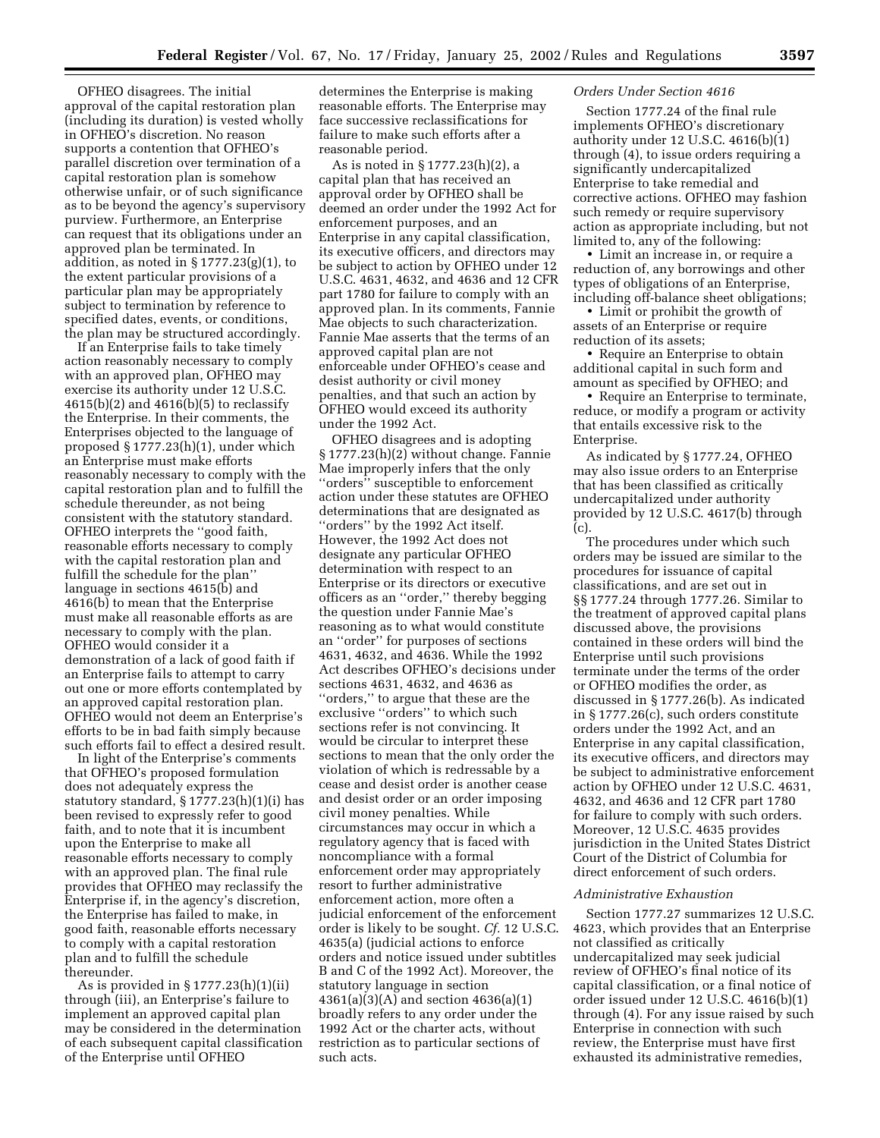OFHEO disagrees. The initial approval of the capital restoration plan (including its duration) is vested wholly in OFHEO's discretion. No reason supports a contention that OFHEO's parallel discretion over termination of a capital restoration plan is somehow otherwise unfair, or of such significance as to be beyond the agency's supervisory purview. Furthermore, an Enterprise can request that its obligations under an approved plan be terminated. In addition, as noted in § 1777.23(g)(1), to the extent particular provisions of a particular plan may be appropriately subject to termination by reference to specified dates, events, or conditions, the plan may be structured accordingly.

If an Enterprise fails to take timely action reasonably necessary to comply with an approved plan, OFHEO may exercise its authority under 12 U.S.C. 4615(b)(2) and 4616(b)(5) to reclassify the Enterprise. In their comments, the Enterprises objected to the language of proposed § 1777.23(h)(1), under which an Enterprise must make efforts reasonably necessary to comply with the capital restoration plan and to fulfill the schedule thereunder, as not being consistent with the statutory standard. OFHEO interprets the ''good faith, reasonable efforts necessary to comply with the capital restoration plan and fulfill the schedule for the plan'' language in sections 4615(b) and 4616(b) to mean that the Enterprise must make all reasonable efforts as are necessary to comply with the plan. OFHEO would consider it a demonstration of a lack of good faith if an Enterprise fails to attempt to carry out one or more efforts contemplated by an approved capital restoration plan. OFHEO would not deem an Enterprise's efforts to be in bad faith simply because such efforts fail to effect a desired result.

In light of the Enterprise's comments that OFHEO's proposed formulation does not adequately express the statutory standard, § 1777.23(h)(1)(i) has been revised to expressly refer to good faith, and to note that it is incumbent upon the Enterprise to make all reasonable efforts necessary to comply with an approved plan. The final rule provides that OFHEO may reclassify the Enterprise if, in the agency's discretion, the Enterprise has failed to make, in good faith, reasonable efforts necessary to comply with a capital restoration plan and to fulfill the schedule thereunder.

As is provided in § 1777.23(h)(1)(ii) through (iii), an Enterprise's failure to implement an approved capital plan may be considered in the determination of each subsequent capital classification of the Enterprise until OFHEO

determines the Enterprise is making reasonable efforts. The Enterprise may face successive reclassifications for failure to make such efforts after a reasonable period.

As is noted in § 1777.23(h)(2), a capital plan that has received an approval order by OFHEO shall be deemed an order under the 1992 Act for enforcement purposes, and an Enterprise in any capital classification, its executive officers, and directors may be subject to action by OFHEO under 12 U.S.C. 4631, 4632, and 4636 and 12 CFR part 1780 for failure to comply with an approved plan. In its comments, Fannie Mae objects to such characterization. Fannie Mae asserts that the terms of an approved capital plan are not enforceable under OFHEO's cease and desist authority or civil money penalties, and that such an action by OFHEO would exceed its authority under the 1992 Act.

OFHEO disagrees and is adopting § 1777.23(h)(2) without change. Fannie Mae improperly infers that the only ''orders'' susceptible to enforcement action under these statutes are OFHEO determinations that are designated as ''orders'' by the 1992 Act itself. However, the 1992 Act does not designate any particular OFHEO determination with respect to an Enterprise or its directors or executive officers as an ''order,'' thereby begging the question under Fannie Mae's reasoning as to what would constitute an ''order'' for purposes of sections 4631, 4632, and 4636. While the 1992 Act describes OFHEO's decisions under sections 4631, 4632, and 4636 as ''orders,'' to argue that these are the exclusive ''orders'' to which such sections refer is not convincing. It would be circular to interpret these sections to mean that the only order the violation of which is redressable by a cease and desist order is another cease and desist order or an order imposing civil money penalties. While circumstances may occur in which a regulatory agency that is faced with noncompliance with a formal enforcement order may appropriately resort to further administrative enforcement action, more often a judicial enforcement of the enforcement order is likely to be sought. *Cf.* 12 U.S.C. 4635(a) (judicial actions to enforce orders and notice issued under subtitles B and C of the 1992 Act). Moreover, the statutory language in section 4361(a)(3)(A) and section 4636(a)(1) broadly refers to any order under the 1992 Act or the charter acts, without restriction as to particular sections of such acts.

#### *Orders Under Section 4616*

Section 1777.24 of the final rule implements OFHEO's discretionary authority under 12 U.S.C. 4616(b)(1) through (4), to issue orders requiring a significantly undercapitalized Enterprise to take remedial and corrective actions. OFHEO may fashion such remedy or require supervisory action as appropriate including, but not limited to, any of the following:

• Limit an increase in, or require a reduction of, any borrowings and other types of obligations of an Enterprise, including off-balance sheet obligations;

• Limit or prohibit the growth of assets of an Enterprise or require reduction of its assets;

• Require an Enterprise to obtain additional capital in such form and amount as specified by OFHEO; and

• Require an Enterprise to terminate, reduce, or modify a program or activity that entails excessive risk to the Enterprise.

As indicated by § 1777.24, OFHEO may also issue orders to an Enterprise that has been classified as critically undercapitalized under authority provided by 12 U.S.C. 4617(b) through (c).

The procedures under which such orders may be issued are similar to the procedures for issuance of capital classifications, and are set out in §§ 1777.24 through 1777.26. Similar to the treatment of approved capital plans discussed above, the provisions contained in these orders will bind the Enterprise until such provisions terminate under the terms of the order or OFHEO modifies the order, as discussed in § 1777.26(b). As indicated in § 1777.26(c), such orders constitute orders under the 1992 Act, and an Enterprise in any capital classification, its executive officers, and directors may be subject to administrative enforcement action by OFHEO under 12 U.S.C. 4631, 4632, and 4636 and 12 CFR part 1780 for failure to comply with such orders. Moreover, 12 U.S.C. 4635 provides jurisdiction in the United States District Court of the District of Columbia for direct enforcement of such orders.

### *Administrative Exhaustion*

Section 1777.27 summarizes 12 U.S.C. 4623, which provides that an Enterprise not classified as critically undercapitalized may seek judicial review of OFHEO's final notice of its capital classification, or a final notice of order issued under 12 U.S.C. 4616(b)(1) through (4). For any issue raised by such Enterprise in connection with such review, the Enterprise must have first exhausted its administrative remedies,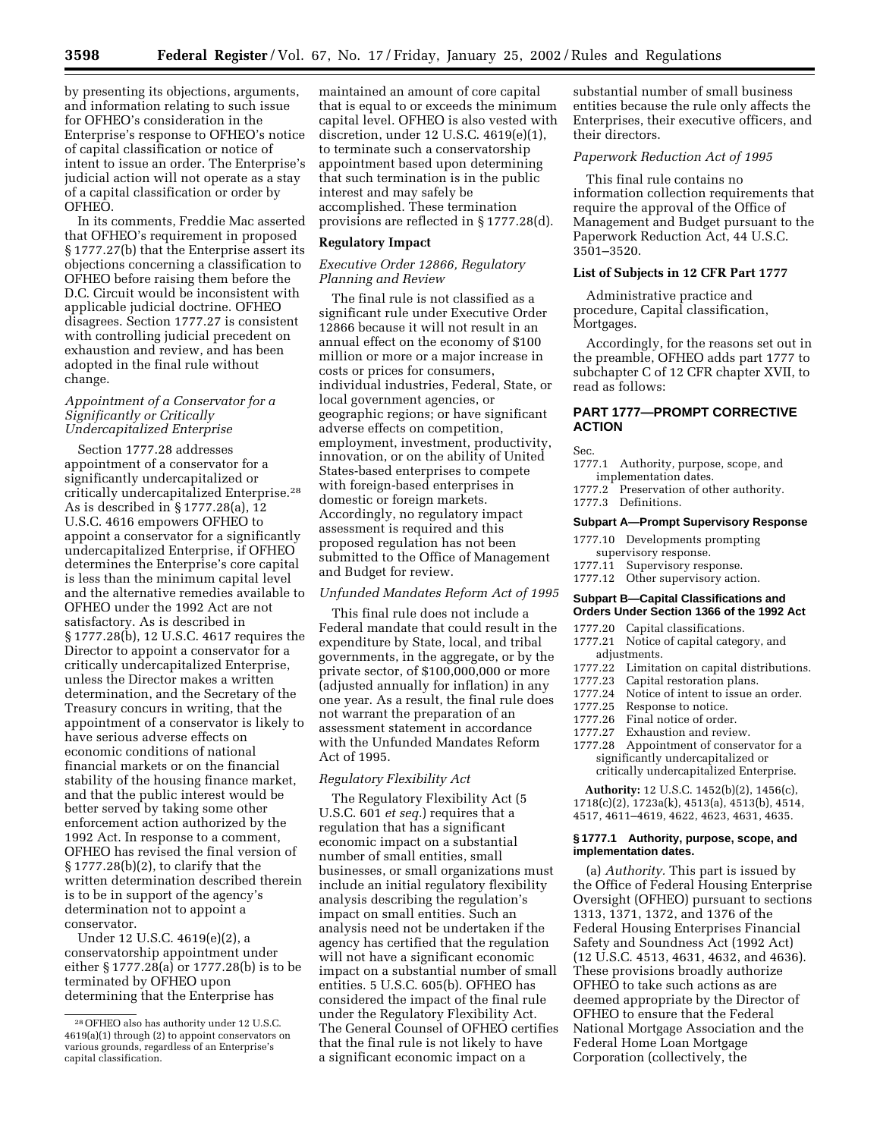by presenting its objections, arguments, and information relating to such issue for OFHEO's consideration in the Enterprise's response to OFHEO's notice of capital classification or notice of intent to issue an order. The Enterprise's judicial action will not operate as a stay of a capital classification or order by OFHEO.

In its comments, Freddie Mac asserted that OFHEO's requirement in proposed § 1777.27(b) that the Enterprise assert its objections concerning a classification to OFHEO before raising them before the D.C. Circuit would be inconsistent with applicable judicial doctrine. OFHEO disagrees. Section 1777.27 is consistent with controlling judicial precedent on exhaustion and review, and has been adopted in the final rule without change.

## *Appointment of a Conservator for a Significantly or Critically Undercapitalized Enterprise*

Section 1777.28 addresses appointment of a conservator for a significantly undercapitalized or critically undercapitalized Enterprise.28 As is described in § 1777.28(a), 12 U.S.C. 4616 empowers OFHEO to appoint a conservator for a significantly undercapitalized Enterprise, if OFHEO determines the Enterprise's core capital is less than the minimum capital level and the alternative remedies available to OFHEO under the 1992 Act are not satisfactory. As is described in § 1777.28(b), 12 U.S.C. 4617 requires the Director to appoint a conservator for a critically undercapitalized Enterprise, unless the Director makes a written determination, and the Secretary of the Treasury concurs in writing, that the appointment of a conservator is likely to have serious adverse effects on economic conditions of national financial markets or on the financial stability of the housing finance market, and that the public interest would be better served by taking some other enforcement action authorized by the 1992 Act. In response to a comment, OFHEO has revised the final version of § 1777.28(b)(2), to clarify that the written determination described therein is to be in support of the agency's determination not to appoint a conservator.

Under 12 U.S.C. 4619(e)(2), a conservatorship appointment under either § 1777.28(a) or 1777.28(b) is to be terminated by OFHEO upon determining that the Enterprise has

maintained an amount of core capital that is equal to or exceeds the minimum capital level. OFHEO is also vested with discretion, under 12 U.S.C. 4619(e)(1), to terminate such a conservatorship appointment based upon determining that such termination is in the public interest and may safely be accomplished. These termination provisions are reflected in § 1777.28(d).

## **Regulatory Impact**

### *Executive Order 12866, Regulatory Planning and Review*

The final rule is not classified as a significant rule under Executive Order 12866 because it will not result in an annual effect on the economy of \$100 million or more or a major increase in costs or prices for consumers, individual industries, Federal, State, or local government agencies, or geographic regions; or have significant adverse effects on competition, employment, investment, productivity, innovation, or on the ability of United States-based enterprises to compete with foreign-based enterprises in domestic or foreign markets. Accordingly, no regulatory impact assessment is required and this proposed regulation has not been submitted to the Office of Management and Budget for review.

#### *Unfunded Mandates Reform Act of 1995*

This final rule does not include a Federal mandate that could result in the expenditure by State, local, and tribal governments, in the aggregate, or by the private sector, of \$100,000,000 or more (adjusted annually for inflation) in any one year. As a result, the final rule does not warrant the preparation of an assessment statement in accordance with the Unfunded Mandates Reform Act of 1995.

## *Regulatory Flexibility Act*

The Regulatory Flexibility Act (5 U.S.C. 601 *et seq.*) requires that a regulation that has a significant economic impact on a substantial number of small entities, small businesses, or small organizations must include an initial regulatory flexibility analysis describing the regulation's impact on small entities. Such an analysis need not be undertaken if the agency has certified that the regulation will not have a significant economic impact on a substantial number of small entities. 5 U.S.C. 605(b). OFHEO has considered the impact of the final rule under the Regulatory Flexibility Act. The General Counsel of OFHEO certifies that the final rule is not likely to have a significant economic impact on a

substantial number of small business entities because the rule only affects the Enterprises, their executive officers, and their directors.

# *Paperwork Reduction Act of 1995*

This final rule contains no information collection requirements that require the approval of the Office of Management and Budget pursuant to the Paperwork Reduction Act, 44 U.S.C. 3501–3520.

## **List of Subjects in 12 CFR Part 1777**

Administrative practice and procedure, Capital classification, Mortgages.

Accordingly, for the reasons set out in the preamble, OFHEO adds part 1777 to subchapter C of 12 CFR chapter XVII, to read as follows:

# **PART 1777—PROMPT CORRECTIVE ACTION**

Sec.

- 1777.1 Authority, purpose, scope, and implementation dates.
- 1777.2 Preservation of other authority. 1777.3 Definitions.

#### **Subpart A—Prompt Supervisory Response**

- 1777.10 Developments prompting
- supervisory response.
- 1777.11 Supervisory response.
- 1777.12 Other supervisory action.

#### **Subpart B—Capital Classifications and Orders Under Section 1366 of the 1992 Act**

- 1777.20 Capital classifications.
- 1777.21 Notice of capital category, and adjustments.
- 1777.22 Limitation on capital distributions.
- 
- 1777.23 Capital restoration plans.<br>1777.24 Notice of intent to issue a 1777.24 Notice of intent to issue an order.<br>1777.25 Response to notice.
- Response to notice.
- 
- 1777.26 Final notice of order.<br>1777.27 Exhaustion and revie Exhaustion and review.
- 1777.28 Appointment of conservator for a significantly undercapitalized or critically undercapitalized Enterprise.

**Authority:** 12 U.S.C. 1452(b)(2), 1456(c), 1718(c)(2), 1723a(k), 4513(a), 4513(b), 4514, 4517, 4611–4619, 4622, 4623, 4631, 4635.

### **§ 1777.1 Authority, purpose, scope, and implementation dates.**

(a) *Authority.* This part is issued by the Office of Federal Housing Enterprise Oversight (OFHEO) pursuant to sections 1313, 1371, 1372, and 1376 of the Federal Housing Enterprises Financial Safety and Soundness Act (1992 Act) (12 U.S.C. 4513, 4631, 4632, and 4636). These provisions broadly authorize OFHEO to take such actions as are deemed appropriate by the Director of OFHEO to ensure that the Federal National Mortgage Association and the Federal Home Loan Mortgage Corporation (collectively, the

<sup>28</sup>OFHEO also has authority under 12 U.S.C. 4619(a)(1) through (2) to appoint conservators on various grounds, regardless of an Enterprise's capital classification.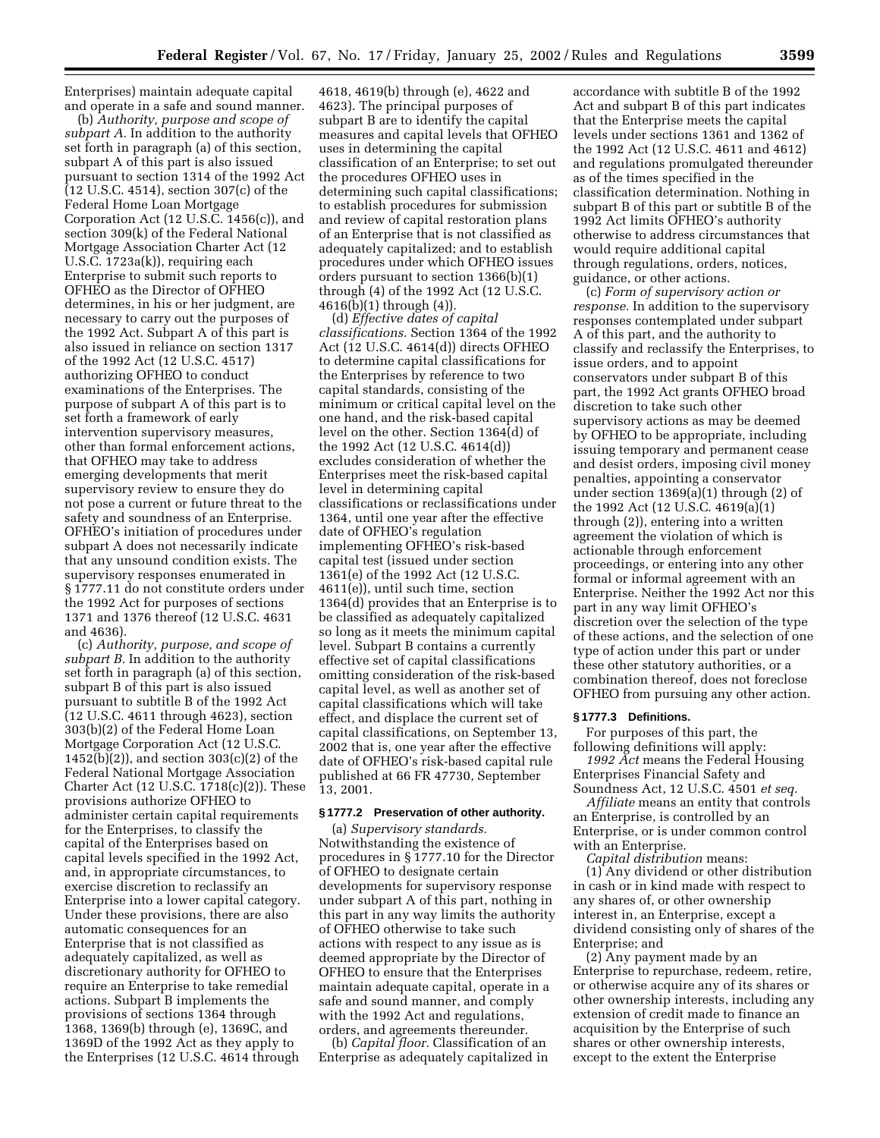Enterprises) maintain adequate capital and operate in a safe and sound manner.

(b) *Authority, purpose and scope of subpart A.* In addition to the authority set forth in paragraph (a) of this section, subpart A of this part is also issued pursuant to section 1314 of the 1992 Act (12 U.S.C. 4514), section 307(c) of the Federal Home Loan Mortgage Corporation Act (12 U.S.C. 1456(c)), and section 309(k) of the Federal National Mortgage Association Charter Act (12 U.S.C. 1723a(k)), requiring each Enterprise to submit such reports to OFHEO as the Director of OFHEO determines, in his or her judgment, are necessary to carry out the purposes of the 1992 Act. Subpart A of this part is also issued in reliance on section 1317 of the 1992 Act (12 U.S.C. 4517) authorizing OFHEO to conduct examinations of the Enterprises. The purpose of subpart A of this part is to set forth a framework of early intervention supervisory measures, other than formal enforcement actions, that OFHEO may take to address emerging developments that merit supervisory review to ensure they do not pose a current or future threat to the safety and soundness of an Enterprise. OFHEO's initiation of procedures under subpart A does not necessarily indicate that any unsound condition exists. The supervisory responses enumerated in § 1777.11 do not constitute orders under the 1992 Act for purposes of sections 1371 and 1376 thereof (12 U.S.C. 4631 and 4636).

(c) *Authority, purpose, and scope of subpart B.* In addition to the authority set forth in paragraph (a) of this section, subpart B of this part is also issued pursuant to subtitle B of the 1992 Act (12 U.S.C. 4611 through 4623), section 303(b)(2) of the Federal Home Loan Mortgage Corporation Act (12 U.S.C. 1452(b)(2)), and section 303(c)(2) of the Federal National Mortgage Association Charter Act (12 U.S.C. 1718(c)(2)). These provisions authorize OFHEO to administer certain capital requirements for the Enterprises, to classify the capital of the Enterprises based on capital levels specified in the 1992 Act, and, in appropriate circumstances, to exercise discretion to reclassify an Enterprise into a lower capital category. Under these provisions, there are also automatic consequences for an Enterprise that is not classified as adequately capitalized, as well as discretionary authority for OFHEO to require an Enterprise to take remedial actions. Subpart B implements the provisions of sections 1364 through 1368, 1369(b) through (e), 1369C, and 1369D of the 1992 Act as they apply to the Enterprises (12 U.S.C. 4614 through

4618, 4619(b) through (e), 4622 and 4623). The principal purposes of subpart B are to identify the capital measures and capital levels that OFHEO uses in determining the capital classification of an Enterprise; to set out the procedures OFHEO uses in determining such capital classifications; to establish procedures for submission and review of capital restoration plans of an Enterprise that is not classified as adequately capitalized; and to establish procedures under which OFHEO issues orders pursuant to section 1366(b)(1) through (4) of the 1992 Act (12 U.S.C. 4616(b)(1) through (4)).

(d) *Effective dates of capital classifications.* Section 1364 of the 1992 Act (12 U.S.C. 4614(d)) directs OFHEO to determine capital classifications for the Enterprises by reference to two capital standards, consisting of the minimum or critical capital level on the one hand, and the risk-based capital level on the other. Section 1364(d) of the 1992 Act (12 U.S.C. 4614(d)) excludes consideration of whether the Enterprises meet the risk-based capital level in determining capital classifications or reclassifications under 1364, until one year after the effective date of OFHEO's regulation implementing OFHEO's risk-based capital test (issued under section 1361(e) of the 1992 Act (12 U.S.C. 4611(e)), until such time, section 1364(d) provides that an Enterprise is to be classified as adequately capitalized so long as it meets the minimum capital level. Subpart B contains a currently effective set of capital classifications omitting consideration of the risk-based capital level, as well as another set of capital classifications which will take effect, and displace the current set of capital classifications, on September 13, 2002 that is, one year after the effective date of OFHEO's risk-based capital rule published at 66 FR 47730, September 13, 2001.

#### **§ 1777.2 Preservation of other authority.**

(a) *Supervisory standards.* Notwithstanding the existence of procedures in § 1777.10 for the Director of OFHEO to designate certain developments for supervisory response under subpart A of this part, nothing in this part in any way limits the authority of OFHEO otherwise to take such actions with respect to any issue as is deemed appropriate by the Director of OFHEO to ensure that the Enterprises maintain adequate capital, operate in a safe and sound manner, and comply with the 1992 Act and regulations, orders, and agreements thereunder.

(b) *Capital floor.* Classification of an Enterprise as adequately capitalized in accordance with subtitle B of the 1992 Act and subpart B of this part indicates that the Enterprise meets the capital levels under sections 1361 and 1362 of the 1992 Act (12 U.S.C. 4611 and 4612) and regulations promulgated thereunder as of the times specified in the classification determination. Nothing in subpart B of this part or subtitle B of the 1992 Act limits OFHEO's authority otherwise to address circumstances that would require additional capital through regulations, orders, notices, guidance, or other actions.

(c) *Form of supervisory action or response.* In addition to the supervisory responses contemplated under subpart A of this part, and the authority to classify and reclassify the Enterprises, to issue orders, and to appoint conservators under subpart B of this part, the 1992 Act grants OFHEO broad discretion to take such other supervisory actions as may be deemed by OFHEO to be appropriate, including issuing temporary and permanent cease and desist orders, imposing civil money penalties, appointing a conservator under section 1369(a)(1) through (2) of the 1992 Act (12 U.S.C. 4619(a)(1) through (2)), entering into a written agreement the violation of which is actionable through enforcement proceedings, or entering into any other formal or informal agreement with an Enterprise. Neither the 1992 Act nor this part in any way limit OFHEO's discretion over the selection of the type of these actions, and the selection of one type of action under this part or under these other statutory authorities, or a combination thereof, does not foreclose OFHEO from pursuing any other action.

### **§ 1777.3 Definitions.**

For purposes of this part, the following definitions will apply:

*1992 Act* means the Federal Housing Enterprises Financial Safety and Soundness Act, 12 U.S.C. 4501 *et seq.*

*Affiliate* means an entity that controls an Enterprise, is controlled by an Enterprise, or is under common control with an Enterprise.

*Capital distribution* means: (1) Any dividend or other distribution in cash or in kind made with respect to any shares of, or other ownership interest in, an Enterprise, except a dividend consisting only of shares of the Enterprise; and

(2) Any payment made by an Enterprise to repurchase, redeem, retire, or otherwise acquire any of its shares or other ownership interests, including any extension of credit made to finance an acquisition by the Enterprise of such shares or other ownership interests, except to the extent the Enterprise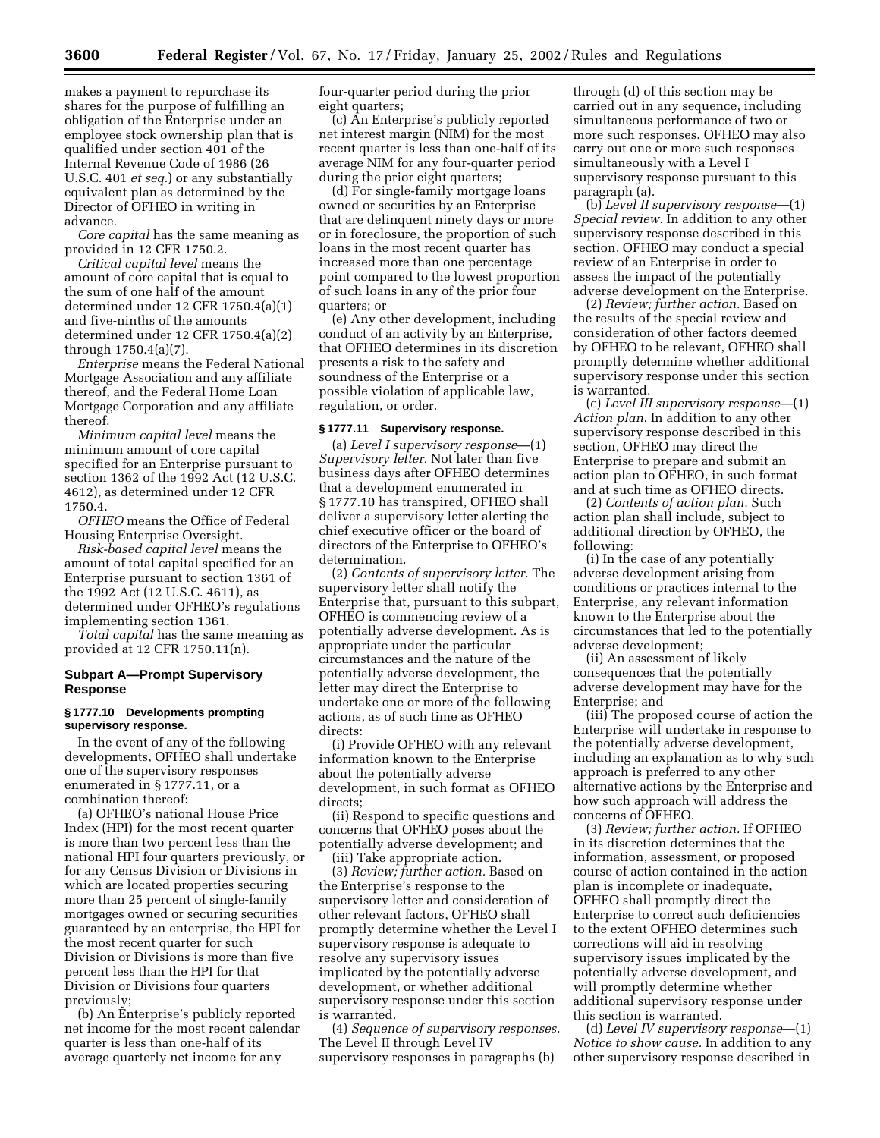makes a payment to repurchase its shares for the purpose of fulfilling an obligation of the Enterprise under an employee stock ownership plan that is qualified under section 401 of the Internal Revenue Code of 1986 (26 U.S.C. 401 *et seq.*) or any substantially equivalent plan as determined by the Director of OFHEO in writing in advance.

*Core capital* has the same meaning as provided in 12 CFR 1750.2.

*Critical capital level* means the amount of core capital that is equal to the sum of one half of the amount determined under 12 CFR 1750.4(a)(1) and five-ninths of the amounts determined under 12 CFR 1750.4(a)(2) through 1750.4(a)(7).

*Enterprise* means the Federal National Mortgage Association and any affiliate thereof, and the Federal Home Loan Mortgage Corporation and any affiliate thereof.

*Minimum capital level* means the minimum amount of core capital specified for an Enterprise pursuant to section 1362 of the 1992 Act (12 U.S.C. 4612), as determined under 12 CFR 1750.4.

*OFHEO* means the Office of Federal Housing Enterprise Oversight.

*Risk-based capital level* means the amount of total capital specified for an Enterprise pursuant to section 1361 of the 1992 Act (12 U.S.C. 4611), as determined under OFHEO's regulations implementing section 1361.

*Total capital* has the same meaning as provided at 12 CFR 1750.11(n).

### **Subpart A—Prompt Supervisory Response**

### **§ 1777.10 Developments prompting supervisory response.**

In the event of any of the following developments, OFHEO shall undertake one of the supervisory responses enumerated in § 1777.11, or a combination thereof:

(a) OFHEO's national House Price Index (HPI) for the most recent quarter is more than two percent less than the national HPI four quarters previously, or for any Census Division or Divisions in which are located properties securing more than 25 percent of single-family mortgages owned or securing securities guaranteed by an enterprise, the HPI for the most recent quarter for such Division or Divisions is more than five percent less than the HPI for that Division or Divisions four quarters previously;

(b) An Enterprise's publicly reported net income for the most recent calendar quarter is less than one-half of its average quarterly net income for any

four-quarter period during the prior eight quarters;

(c) An Enterprise's publicly reported net interest margin (NIM) for the most recent quarter is less than one-half of its average NIM for any four-quarter period during the prior eight quarters;

(d) For single-family mortgage loans owned or securities by an Enterprise that are delinquent ninety days or more or in foreclosure, the proportion of such loans in the most recent quarter has increased more than one percentage point compared to the lowest proportion of such loans in any of the prior four quarters; or

(e) Any other development, including conduct of an activity by an Enterprise, that OFHEO determines in its discretion presents a risk to the safety and soundness of the Enterprise or a possible violation of applicable law, regulation, or order.

#### **§ 1777.11 Supervisory response.**

(a) *Level I supervisory response*—(1) *Supervisory letter.* Not later than five business days after OFHEO determines that a development enumerated in § 1777.10 has transpired, OFHEO shall deliver a supervisory letter alerting the chief executive officer or the board of directors of the Enterprise to OFHEO's determination.

(2) *Contents of supervisory letter.* The supervisory letter shall notify the Enterprise that, pursuant to this subpart, OFHEO is commencing review of a potentially adverse development. As is appropriate under the particular circumstances and the nature of the potentially adverse development, the letter may direct the Enterprise to undertake one or more of the following actions, as of such time as OFHEO directs:

(i) Provide OFHEO with any relevant information known to the Enterprise about the potentially adverse development, in such format as OFHEO directs;

(ii) Respond to specific questions and concerns that OFHEO poses about the potentially adverse development; and (iii) Take appropriate action.

(3) *Review; further action.* Based on the Enterprise's response to the supervisory letter and consideration of other relevant factors, OFHEO shall promptly determine whether the Level I supervisory response is adequate to resolve any supervisory issues implicated by the potentially adverse development, or whether additional supervisory response under this section is warranted.

(4) *Sequence of supervisory responses.* The Level II through Level IV supervisory responses in paragraphs (b)

through (d) of this section may be carried out in any sequence, including simultaneous performance of two or more such responses. OFHEO may also carry out one or more such responses simultaneously with a Level I supervisory response pursuant to this paragraph (a).

(b) *Level II supervisory response*—(1) *Special review.* In addition to any other supervisory response described in this section, OFHEO may conduct a special review of an Enterprise in order to assess the impact of the potentially adverse development on the Enterprise.

(2) *Review; further action.* Based on the results of the special review and consideration of other factors deemed by OFHEO to be relevant, OFHEO shall promptly determine whether additional supervisory response under this section is warranted.

(c) *Level III supervisory response*—(1) *Action plan.* In addition to any other supervisory response described in this section, OFHEO may direct the Enterprise to prepare and submit an action plan to OFHEO, in such format and at such time as OFHEO directs.

(2) *Contents of action plan.* Such action plan shall include, subject to additional direction by OFHEO, the following:

(i) In the case of any potentially adverse development arising from conditions or practices internal to the Enterprise, any relevant information known to the Enterprise about the circumstances that led to the potentially adverse development;

(ii) An assessment of likely consequences that the potentially adverse development may have for the Enterprise; and

(iii) The proposed course of action the Enterprise will undertake in response to the potentially adverse development, including an explanation as to why such approach is preferred to any other alternative actions by the Enterprise and how such approach will address the concerns of OFHEO.

(3) *Review; further action.* If OFHEO in its discretion determines that the information, assessment, or proposed course of action contained in the action plan is incomplete or inadequate, OFHEO shall promptly direct the Enterprise to correct such deficiencies to the extent OFHEO determines such corrections will aid in resolving supervisory issues implicated by the potentially adverse development, and will promptly determine whether additional supervisory response under this section is warranted.

(d) *Level IV supervisory response*—(1) *Notice to show cause.* In addition to any other supervisory response described in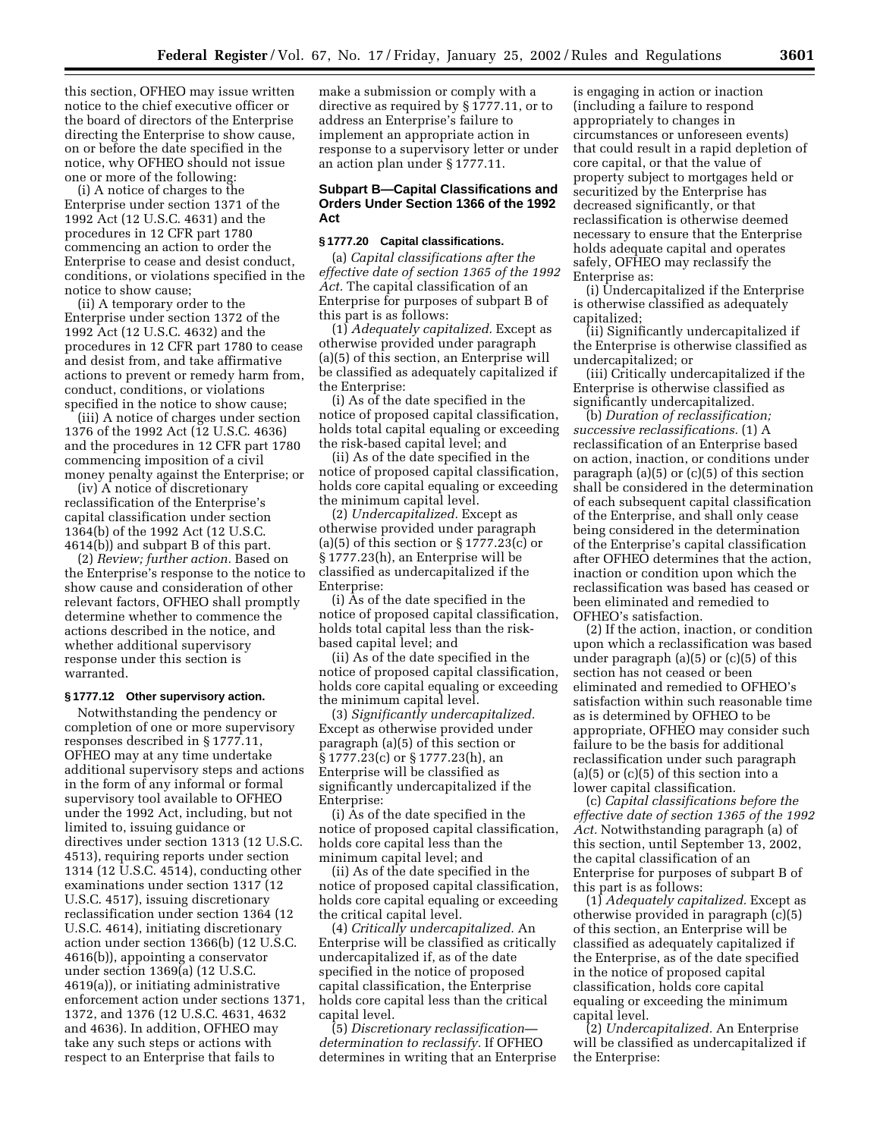this section, OFHEO may issue written notice to the chief executive officer or the board of directors of the Enterprise directing the Enterprise to show cause, on or before the date specified in the notice, why OFHEO should not issue one or more of the following:

(i) A notice of charges to the Enterprise under section 1371 of the 1992 Act (12 U.S.C. 4631) and the procedures in 12 CFR part 1780 commencing an action to order the Enterprise to cease and desist conduct, conditions, or violations specified in the notice to show cause;

(ii) A temporary order to the Enterprise under section 1372 of the 1992 Act (12 U.S.C. 4632) and the procedures in 12 CFR part 1780 to cease and desist from, and take affirmative actions to prevent or remedy harm from, conduct, conditions, or violations specified in the notice to show cause;

(iii) A notice of charges under section 1376 of the 1992 Act (12 U.S.C. 4636) and the procedures in 12 CFR part 1780 commencing imposition of a civil money penalty against the Enterprise; or

(iv) A notice of discretionary reclassification of the Enterprise's capital classification under section 1364(b) of the 1992 Act (12 U.S.C. 4614(b)) and subpart B of this part.

(2) *Review; further action.* Based on the Enterprise's response to the notice to show cause and consideration of other relevant factors, OFHEO shall promptly determine whether to commence the actions described in the notice, and whether additional supervisory response under this section is warranted.

#### **§ 1777.12 Other supervisory action.**

Notwithstanding the pendency or completion of one or more supervisory responses described in § 1777.11, OFHEO may at any time undertake additional supervisory steps and actions in the form of any informal or formal supervisory tool available to OFHEO under the 1992 Act, including, but not limited to, issuing guidance or directives under section 1313 (12 U.S.C. 4513), requiring reports under section 1314 (12 U.S.C. 4514), conducting other examinations under section 1317 (12 U.S.C. 4517), issuing discretionary reclassification under section 1364 (12 U.S.C. 4614), initiating discretionary action under section 1366(b) (12 U.S.C. 4616(b)), appointing a conservator under section 1369(a) (12 U.S.C. 4619(a)), or initiating administrative enforcement action under sections 1371, 1372, and 1376 (12 U.S.C. 4631, 4632 and 4636). In addition, OFHEO may take any such steps or actions with respect to an Enterprise that fails to

make a submission or comply with a directive as required by § 1777.11, or to address an Enterprise's failure to implement an appropriate action in response to a supervisory letter or under an action plan under § 1777.11.

### **Subpart B—Capital Classifications and Orders Under Section 1366 of the 1992 Act**

### **§ 1777.20 Capital classifications.**

(a) *Capital classifications after the effective date of section 1365 of the 1992 Act.* The capital classification of an Enterprise for purposes of subpart B of this part is as follows:

(1) *Adequately capitalized.* Except as otherwise provided under paragraph (a)(5) of this section, an Enterprise will be classified as adequately capitalized if the Enterprise:

(i) As of the date specified in the notice of proposed capital classification, holds total capital equaling or exceeding the risk-based capital level; and

(ii) As of the date specified in the notice of proposed capital classification, holds core capital equaling or exceeding the minimum capital level.

(2) *Undercapitalized.* Except as otherwise provided under paragraph (a)(5) of this section or  $\S 1777.23(c)$  or § 1777.23(h), an Enterprise will be classified as undercapitalized if the Enterprise:

(i) As of the date specified in the notice of proposed capital classification, holds total capital less than the riskbased capital level; and

(ii) As of the date specified in the notice of proposed capital classification, holds core capital equaling or exceeding the minimum capital level.

(3) *Significantly undercapitalized.* Except as otherwise provided under paragraph (a)(5) of this section or § 1777.23(c) or § 1777.23(h), an Enterprise will be classified as significantly undercapitalized if the Enterprise:

(i) As of the date specified in the notice of proposed capital classification, holds core capital less than the minimum capital level; and

(ii) As of the date specified in the notice of proposed capital classification, holds core capital equaling or exceeding the critical capital level.

(4) *Critically undercapitalized.* An Enterprise will be classified as critically undercapitalized if, as of the date specified in the notice of proposed capital classification, the Enterprise holds core capital less than the critical capital level.

(5) *Discretionary reclassification determination to reclassify.* If OFHEO determines in writing that an Enterprise is engaging in action or inaction (including a failure to respond appropriately to changes in circumstances or unforeseen events) that could result in a rapid depletion of core capital, or that the value of property subject to mortgages held or securitized by the Enterprise has decreased significantly, or that reclassification is otherwise deemed necessary to ensure that the Enterprise holds adequate capital and operates safely, OFHEO may reclassify the Enterprise as:

(i) Undercapitalized if the Enterprise is otherwise classified as adequately capitalized;

(ii) Significantly undercapitalized if the Enterprise is otherwise classified as undercapitalized; or

(iii) Critically undercapitalized if the Enterprise is otherwise classified as significantly undercapitalized.

(b) *Duration of reclassification; successive reclassifications.* (1) A reclassification of an Enterprise based on action, inaction, or conditions under paragraph (a)(5) or (c)(5) of this section shall be considered in the determination of each subsequent capital classification of the Enterprise, and shall only cease being considered in the determination of the Enterprise's capital classification after OFHEO determines that the action, inaction or condition upon which the reclassification was based has ceased or been eliminated and remedied to OFHEO's satisfaction.

(2) If the action, inaction, or condition upon which a reclassification was based under paragraph (a)(5) or (c)(5) of this section has not ceased or been eliminated and remedied to OFHEO's satisfaction within such reasonable time as is determined by OFHEO to be appropriate, OFHEO may consider such failure to be the basis for additional reclassification under such paragraph  $(a)(5)$  or  $(c)(5)$  of this section into a lower capital classification.

(c) *Capital classifications before the effective date of section 1365 of the 1992 Act.* Notwithstanding paragraph (a) of this section, until September 13, 2002, the capital classification of an Enterprise for purposes of subpart B of this part is as follows:

(1) *Adequately capitalized.* Except as otherwise provided in paragraph (c)(5) of this section, an Enterprise will be classified as adequately capitalized if the Enterprise, as of the date specified in the notice of proposed capital classification, holds core capital equaling or exceeding the minimum capital level.

(2) *Undercapitalized.* An Enterprise will be classified as undercapitalized if the Enterprise: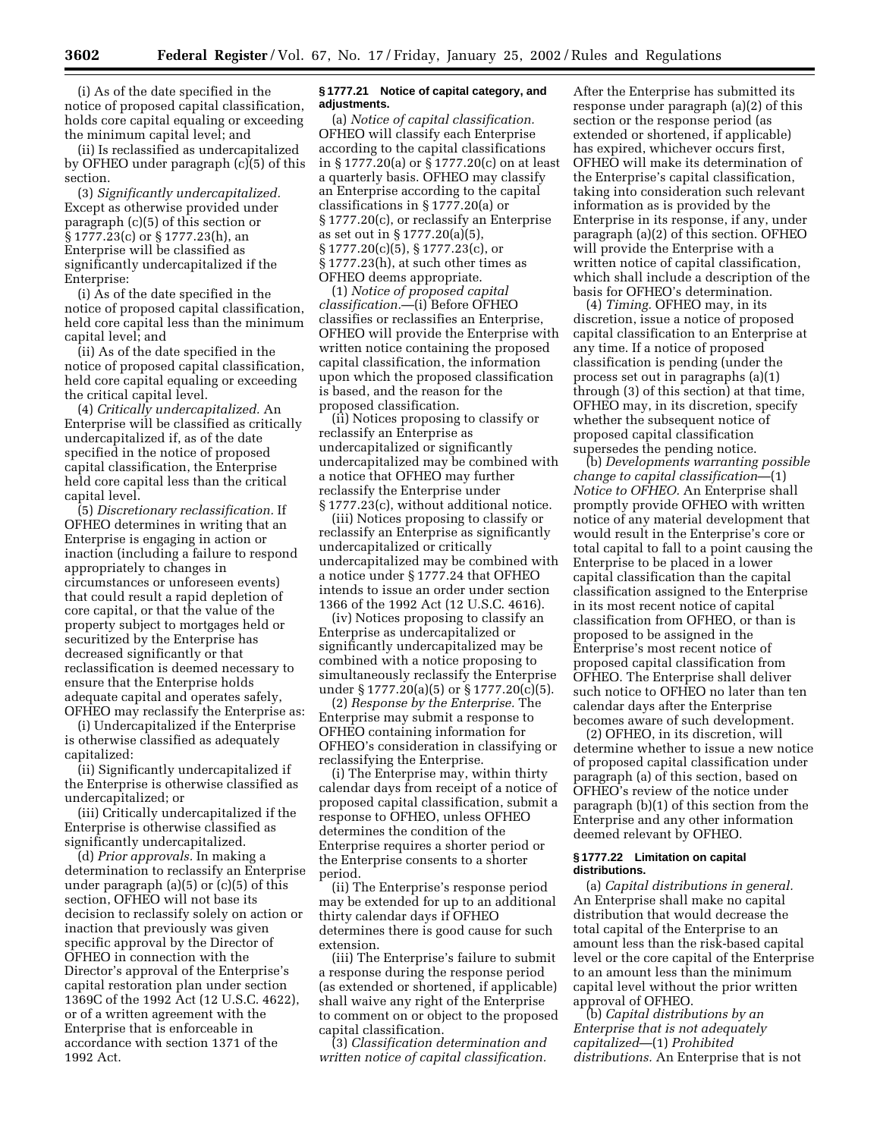(i) As of the date specified in the notice of proposed capital classification, holds core capital equaling or exceeding the minimum capital level; and

(ii) Is reclassified as undercapitalized by OFHEO under paragraph  $(c)(5)$  of this section.

(3) *Significantly undercapitalized.* Except as otherwise provided under paragraph (c)(5) of this section or § 1777.23(c) or § 1777.23(h), an Enterprise will be classified as significantly undercapitalized if the Enterprise:

(i) As of the date specified in the notice of proposed capital classification, held core capital less than the minimum capital level; and

(ii) As of the date specified in the notice of proposed capital classification, held core capital equaling or exceeding the critical capital level.

(4) *Critically undercapitalized.* An Enterprise will be classified as critically undercapitalized if, as of the date specified in the notice of proposed capital classification, the Enterprise held core capital less than the critical capital level.

(5) *Discretionary reclassification.* If OFHEO determines in writing that an Enterprise is engaging in action or inaction (including a failure to respond appropriately to changes in circumstances or unforeseen events) that could result a rapid depletion of core capital, or that the value of the property subject to mortgages held or securitized by the Enterprise has decreased significantly or that reclassification is deemed necessary to ensure that the Enterprise holds adequate capital and operates safely, OFHEO may reclassify the Enterprise as:

(i) Undercapitalized if the Enterprise is otherwise classified as adequately capitalized:

(ii) Significantly undercapitalized if the Enterprise is otherwise classified as undercapitalized; or

(iii) Critically undercapitalized if the Enterprise is otherwise classified as significantly undercapitalized.

(d) *Prior approvals.* In making a determination to reclassify an Enterprise under paragraph (a)(5) or (c)(5) of this section, OFHEO will not base its decision to reclassify solely on action or inaction that previously was given specific approval by the Director of OFHEO in connection with the Director's approval of the Enterprise's capital restoration plan under section 1369C of the 1992 Act (12 U.S.C. 4622), or of a written agreement with the Enterprise that is enforceable in accordance with section 1371 of the 1992 Act.

#### **§ 1777.21 Notice of capital category, and adjustments.**

(a) *Notice of capital classification.* OFHEO will classify each Enterprise according to the capital classifications in § 1777.20(a) or § 1777.20(c) on at least a quarterly basis. OFHEO may classify an Enterprise according to the capital classifications in § 1777.20(a) or § 1777.20(c), or reclassify an Enterprise as set out in § 1777.20(a)(5), § 1777.20(c)(5), § 1777.23(c), or § 1777.23(h), at such other times as OFHEO deems appropriate.

(1) *Notice of proposed capital classification.*—(i) Before OFHEO classifies or reclassifies an Enterprise, OFHEO will provide the Enterprise with written notice containing the proposed capital classification, the information upon which the proposed classification is based, and the reason for the proposed classification.

(ii) Notices proposing to classify or reclassify an Enterprise as undercapitalized or significantly undercapitalized may be combined with a notice that OFHEO may further reclassify the Enterprise under § 1777.23(c), without additional notice.

(iii) Notices proposing to classify or reclassify an Enterprise as significantly undercapitalized or critically undercapitalized may be combined with a notice under § 1777.24 that OFHEO intends to issue an order under section 1366 of the 1992 Act (12 U.S.C. 4616).

(iv) Notices proposing to classify an Enterprise as undercapitalized or significantly undercapitalized may be combined with a notice proposing to simultaneously reclassify the Enterprise under § 1777.20(a)(5) or § 1777.20(c)(5).

(2) *Response by the Enterprise.* The Enterprise may submit a response to OFHEO containing information for OFHEO's consideration in classifying or reclassifying the Enterprise.

(i) The Enterprise may, within thirty calendar days from receipt of a notice of proposed capital classification, submit a response to OFHEO, unless OFHEO determines the condition of the Enterprise requires a shorter period or the Enterprise consents to a shorter period.

(ii) The Enterprise's response period may be extended for up to an additional thirty calendar days if OFHEO determines there is good cause for such extension.

(iii) The Enterprise's failure to submit a response during the response period (as extended or shortened, if applicable) shall waive any right of the Enterprise to comment on or object to the proposed capital classification.

(3) *Classification determination and written notice of capital classification.*

After the Enterprise has submitted its response under paragraph (a)(2) of this section or the response period (as extended or shortened, if applicable) has expired, whichever occurs first, OFHEO will make its determination of the Enterprise's capital classification, taking into consideration such relevant information as is provided by the Enterprise in its response, if any, under paragraph (a)(2) of this section. OFHEO will provide the Enterprise with a written notice of capital classification, which shall include a description of the basis for OFHEO's determination.

(4) *Timing.* OFHEO may, in its discretion, issue a notice of proposed capital classification to an Enterprise at any time. If a notice of proposed classification is pending (under the process set out in paragraphs (a)(1) through (3) of this section) at that time, OFHEO may, in its discretion, specify whether the subsequent notice of proposed capital classification supersedes the pending notice.

(b) *Developments warranting possible change to capital classification*—(1) *Notice to OFHEO.* An Enterprise shall promptly provide OFHEO with written notice of any material development that would result in the Enterprise's core or total capital to fall to a point causing the Enterprise to be placed in a lower capital classification than the capital classification assigned to the Enterprise in its most recent notice of capital classification from OFHEO, or than is proposed to be assigned in the Enterprise's most recent notice of proposed capital classification from OFHEO. The Enterprise shall deliver such notice to OFHEO no later than ten calendar days after the Enterprise becomes aware of such development.

(2) OFHEO, in its discretion, will determine whether to issue a new notice of proposed capital classification under paragraph (a) of this section, based on OFHEO's review of the notice under paragraph (b)(1) of this section from the Enterprise and any other information deemed relevant by OFHEO.

#### **§ 1777.22 Limitation on capital distributions.**

(a) *Capital distributions in general.* An Enterprise shall make no capital distribution that would decrease the total capital of the Enterprise to an amount less than the risk-based capital level or the core capital of the Enterprise to an amount less than the minimum capital level without the prior written approval of OFHEO.

(b) *Capital distributions by an Enterprise that is not adequately capitalized*—(1) *Prohibited distributions.* An Enterprise that is not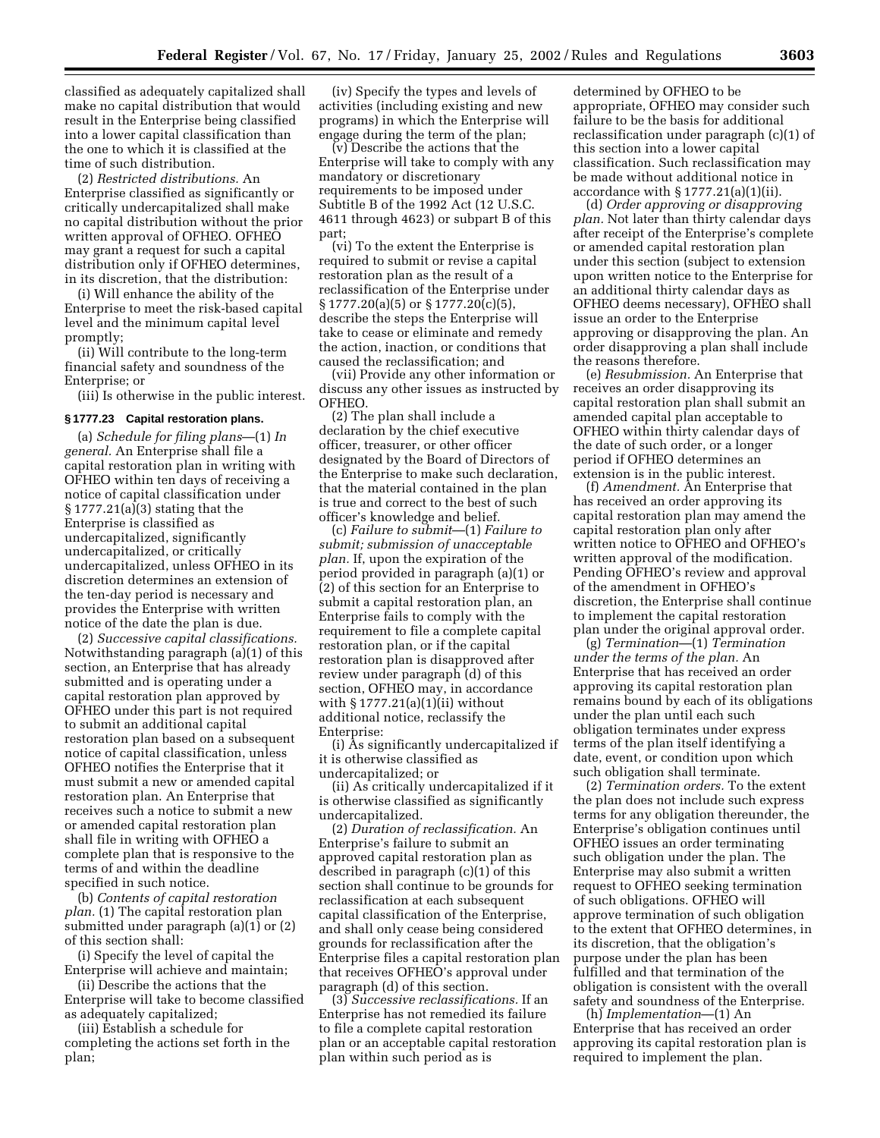classified as adequately capitalized shall make no capital distribution that would result in the Enterprise being classified into a lower capital classification than the one to which it is classified at the time of such distribution.

(2) *Restricted distributions.* An Enterprise classified as significantly or critically undercapitalized shall make no capital distribution without the prior written approval of OFHEO. OFHEO may grant a request for such a capital distribution only if OFHEO determines, in its discretion, that the distribution:

(i) Will enhance the ability of the Enterprise to meet the risk-based capital level and the minimum capital level promptly;

(ii) Will contribute to the long-term financial safety and soundness of the Enterprise; or

(iii) Is otherwise in the public interest.

#### **§ 1777.23 Capital restoration plans.**

(a) *Schedule for filing plans*—(1) *In general.* An Enterprise shall file a capital restoration plan in writing with OFHEO within ten days of receiving a notice of capital classification under § 1777.21(a)(3) stating that the Enterprise is classified as undercapitalized, significantly undercapitalized, or critically undercapitalized, unless OFHEO in its discretion determines an extension of the ten-day period is necessary and provides the Enterprise with written notice of the date the plan is due.

(2) *Successive capital classifications.* Notwithstanding paragraph (a)(1) of this section, an Enterprise that has already submitted and is operating under a capital restoration plan approved by OFHEO under this part is not required to submit an additional capital restoration plan based on a subsequent notice of capital classification, unless OFHEO notifies the Enterprise that it must submit a new or amended capital restoration plan. An Enterprise that receives such a notice to submit a new or amended capital restoration plan shall file in writing with OFHEO a complete plan that is responsive to the terms of and within the deadline specified in such notice.

(b) *Contents of capital restoration plan.* (1) The capital restoration plan submitted under paragraph (a)(1) or (2) of this section shall:

(i) Specify the level of capital the Enterprise will achieve and maintain;

(ii) Describe the actions that the Enterprise will take to become classified as adequately capitalized;

(iii) Establish a schedule for completing the actions set forth in the plan;

(iv) Specify the types and levels of activities (including existing and new programs) in which the Enterprise will engage during the term of the plan;

(v) Describe the actions that the Enterprise will take to comply with any mandatory or discretionary requirements to be imposed under Subtitle B of the 1992 Act (12 U.S.C. 4611 through 4623) or subpart B of this part;

(vi) To the extent the Enterprise is required to submit or revise a capital restoration plan as the result of a reclassification of the Enterprise under § 1777.20(a)(5) or § 1777.20(c)(5), describe the steps the Enterprise will take to cease or eliminate and remedy the action, inaction, or conditions that caused the reclassification; and

(vii) Provide any other information or discuss any other issues as instructed by OFHEO.

(2) The plan shall include a declaration by the chief executive officer, treasurer, or other officer designated by the Board of Directors of the Enterprise to make such declaration, that the material contained in the plan is true and correct to the best of such officer's knowledge and belief.

(c) *Failure to submit*—(1) *Failure to submit; submission of unacceptable plan.* If, upon the expiration of the period provided in paragraph (a)(1) or (2) of this section for an Enterprise to submit a capital restoration plan, an Enterprise fails to comply with the requirement to file a complete capital restoration plan, or if the capital restoration plan is disapproved after review under paragraph (d) of this section, OFHEO may, in accordance with § 1777.21(a)(1)(ii) without additional notice, reclassify the Enterprise:

(i) As significantly undercapitalized if it is otherwise classified as undercapitalized; or

(ii) As critically undercapitalized if it is otherwise classified as significantly undercapitalized.

(2) *Duration of reclassification.* An Enterprise's failure to submit an approved capital restoration plan as described in paragraph (c)(1) of this section shall continue to be grounds for reclassification at each subsequent capital classification of the Enterprise, and shall only cease being considered grounds for reclassification after the Enterprise files a capital restoration plan that receives OFHEO's approval under paragraph (d) of this section.

(3) *Successive reclassifications.* If an Enterprise has not remedied its failure to file a complete capital restoration plan or an acceptable capital restoration plan within such period as is

determined by OFHEO to be appropriate, OFHEO may consider such failure to be the basis for additional reclassification under paragraph (c)(1) of this section into a lower capital classification. Such reclassification may be made without additional notice in accordance with  $\S 1777.21(a)(1)(ii)$ .

(d) *Order approving or disapproving plan.* Not later than thirty calendar days after receipt of the Enterprise's complete or amended capital restoration plan under this section (subject to extension upon written notice to the Enterprise for an additional thirty calendar days as OFHEO deems necessary), OFHEO shall issue an order to the Enterprise approving or disapproving the plan. An order disapproving a plan shall include the reasons therefore.

(e) *Resubmission.* An Enterprise that receives an order disapproving its capital restoration plan shall submit an amended capital plan acceptable to OFHEO within thirty calendar days of the date of such order, or a longer period if OFHEO determines an extension is in the public interest.

(f) *Amendment.* An Enterprise that has received an order approving its capital restoration plan may amend the capital restoration plan only after written notice to OFHEO and OFHEO's written approval of the modification. Pending OFHEO's review and approval of the amendment in OFHEO's discretion, the Enterprise shall continue to implement the capital restoration plan under the original approval order.

(g) *Termination*—(1) *Termination under the terms of the plan.* An Enterprise that has received an order approving its capital restoration plan remains bound by each of its obligations under the plan until each such obligation terminates under express terms of the plan itself identifying a date, event, or condition upon which such obligation shall terminate.

(2) *Termination orders.* To the extent the plan does not include such express terms for any obligation thereunder, the Enterprise's obligation continues until OFHEO issues an order terminating such obligation under the plan. The Enterprise may also submit a written request to OFHEO seeking termination of such obligations. OFHEO will approve termination of such obligation to the extent that OFHEO determines, in its discretion, that the obligation's purpose under the plan has been fulfilled and that termination of the obligation is consistent with the overall safety and soundness of the Enterprise.

(h) *Implementation*—(1) An Enterprise that has received an order approving its capital restoration plan is required to implement the plan.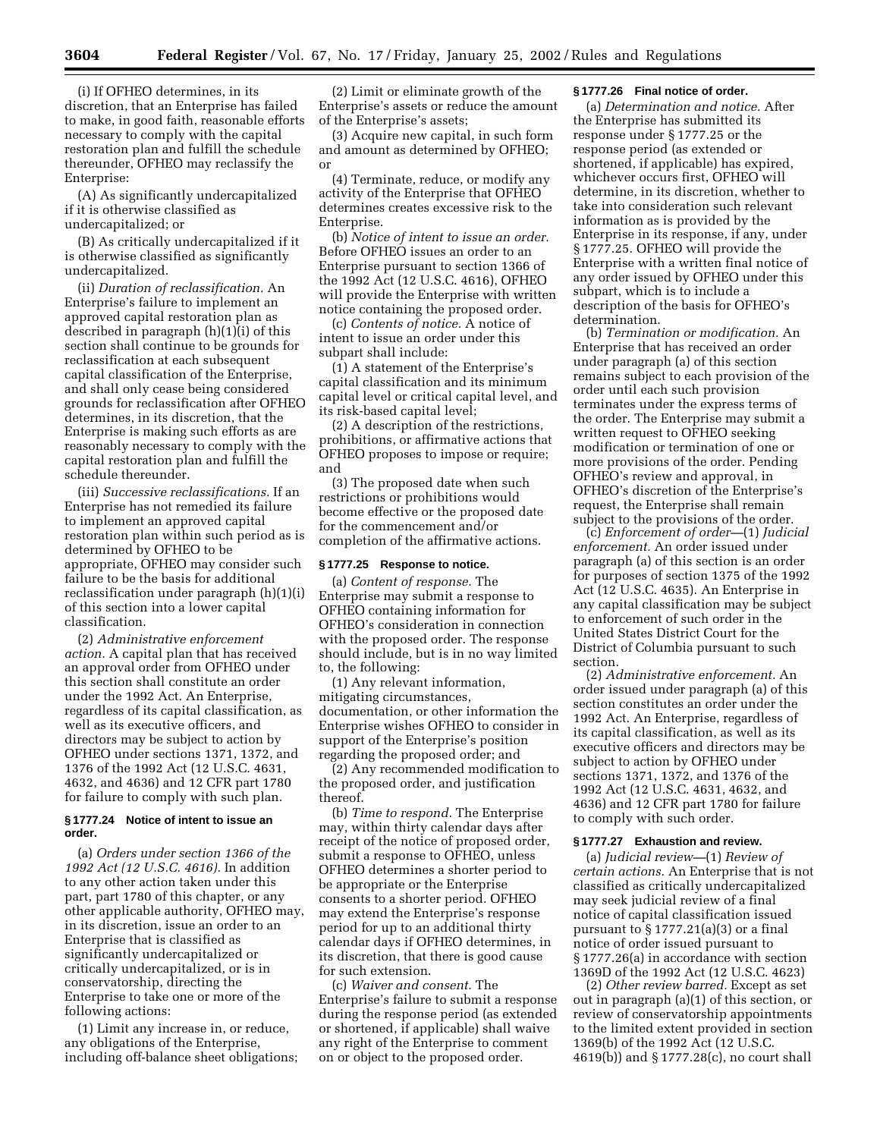(i) If OFHEO determines, in its discretion, that an Enterprise has failed to make, in good faith, reasonable efforts necessary to comply with the capital restoration plan and fulfill the schedule thereunder, OFHEO may reclassify the Enterprise:

(A) As significantly undercapitalized if it is otherwise classified as undercapitalized; or

(B) As critically undercapitalized if it is otherwise classified as significantly undercapitalized.

(ii) *Duration of reclassification.* An Enterprise's failure to implement an approved capital restoration plan as described in paragraph (h)(1)(i) of this section shall continue to be grounds for reclassification at each subsequent capital classification of the Enterprise, and shall only cease being considered grounds for reclassification after OFHEO determines, in its discretion, that the Enterprise is making such efforts as are reasonably necessary to comply with the capital restoration plan and fulfill the schedule thereunder.

(iii) *Successive reclassifications.* If an Enterprise has not remedied its failure to implement an approved capital restoration plan within such period as is determined by OFHEO to be appropriate, OFHEO may consider such failure to be the basis for additional reclassification under paragraph (h)(1)(i) of this section into a lower capital classification.

(2) *Administrative enforcement action.* A capital plan that has received an approval order from OFHEO under this section shall constitute an order under the 1992 Act. An Enterprise, regardless of its capital classification, as well as its executive officers, and directors may be subject to action by OFHEO under sections 1371, 1372, and 1376 of the 1992 Act (12 U.S.C. 4631, 4632, and 4636) and 12 CFR part 1780 for failure to comply with such plan.

### **§ 1777.24 Notice of intent to issue an order.**

(a) *Orders under section 1366 of the 1992 Act (12 U.S.C. 4616).* In addition to any other action taken under this part, part 1780 of this chapter, or any other applicable authority, OFHEO may, in its discretion, issue an order to an Enterprise that is classified as significantly undercapitalized or critically undercapitalized, or is in conservatorship, directing the Enterprise to take one or more of the following actions:

(1) Limit any increase in, or reduce, any obligations of the Enterprise, including off-balance sheet obligations;

(2) Limit or eliminate growth of the Enterprise's assets or reduce the amount of the Enterprise's assets;

(3) Acquire new capital, in such form and amount as determined by OFHEO; or

(4) Terminate, reduce, or modify any activity of the Enterprise that OFHEO determines creates excessive risk to the Enterprise.

(b) *Notice of intent to issue an order.* Before OFHEO issues an order to an Enterprise pursuant to section 1366 of the 1992 Act (12 U.S.C. 4616), OFHEO will provide the Enterprise with written notice containing the proposed order.

(c) *Contents of notice.* A notice of intent to issue an order under this subpart shall include:

(1) A statement of the Enterprise's capital classification and its minimum capital level or critical capital level, and its risk-based capital level;

(2) A description of the restrictions, prohibitions, or affirmative actions that OFHEO proposes to impose or require; and

(3) The proposed date when such restrictions or prohibitions would become effective or the proposed date for the commencement and/or completion of the affirmative actions.

#### **§ 1777.25 Response to notice.**

(a) *Content of response.* The Enterprise may submit a response to OFHEO containing information for OFHEO's consideration in connection with the proposed order. The response should include, but is in no way limited to, the following:

(1) Any relevant information, mitigating circumstances, documentation, or other information the Enterprise wishes OFHEO to consider in support of the Enterprise's position regarding the proposed order; and

(2) Any recommended modification to the proposed order, and justification thereof.

(b) *Time to respond.* The Enterprise may, within thirty calendar days after receipt of the notice of proposed order, submit a response to OFHEO, unless OFHEO determines a shorter period to be appropriate or the Enterprise consents to a shorter period. OFHEO may extend the Enterprise's response period for up to an additional thirty calendar days if OFHEO determines, in its discretion, that there is good cause for such extension.

(c) *Waiver and consent.* The Enterprise's failure to submit a response during the response period (as extended or shortened, if applicable) shall waive any right of the Enterprise to comment on or object to the proposed order.

#### **§ 1777.26 Final notice of order.**

(a) *Determination and notice.* After the Enterprise has submitted its response under § 1777.25 or the response period (as extended or shortened, if applicable) has expired, whichever occurs first, OFHEO will determine, in its discretion, whether to take into consideration such relevant information as is provided by the Enterprise in its response, if any, under § 1777.25. OFHEO will provide the Enterprise with a written final notice of any order issued by OFHEO under this subpart, which is to include a description of the basis for OFHEO's determination.

(b) *Termination or modification.* An Enterprise that has received an order under paragraph (a) of this section remains subject to each provision of the order until each such provision terminates under the express terms of the order. The Enterprise may submit a written request to OFHEO seeking modification or termination of one or more provisions of the order. Pending OFHEO's review and approval, in OFHEO's discretion of the Enterprise's request, the Enterprise shall remain subject to the provisions of the order.

(c) *Enforcement of order—*(1) *Judicial enforcement.* An order issued under paragraph (a) of this section is an order for purposes of section 1375 of the 1992 Act (12 U.S.C. 4635). An Enterprise in any capital classification may be subject to enforcement of such order in the United States District Court for the District of Columbia pursuant to such section.

(2) *Administrative enforcement.* An order issued under paragraph (a) of this section constitutes an order under the 1992 Act. An Enterprise, regardless of its capital classification, as well as its executive officers and directors may be subject to action by OFHEO under sections 1371, 1372, and 1376 of the 1992 Act (12 U.S.C. 4631, 4632, and 4636) and 12 CFR part 1780 for failure to comply with such order.

## **§ 1777.27 Exhaustion and review.**

(a) *Judicial review—*(1) *Review of certain actions.* An Enterprise that is not classified as critically undercapitalized may seek judicial review of a final notice of capital classification issued pursuant to § 1777.21(a)(3) or a final notice of order issued pursuant to § 1777.26(a) in accordance with section 1369D of the 1992 Act (12 U.S.C. 4623)

(2) *Other review barred.* Except as set out in paragraph (a)(1) of this section, or review of conservatorship appointments to the limited extent provided in section 1369(b) of the 1992 Act (12 U.S.C. 4619(b)) and § 1777.28(c), no court shall